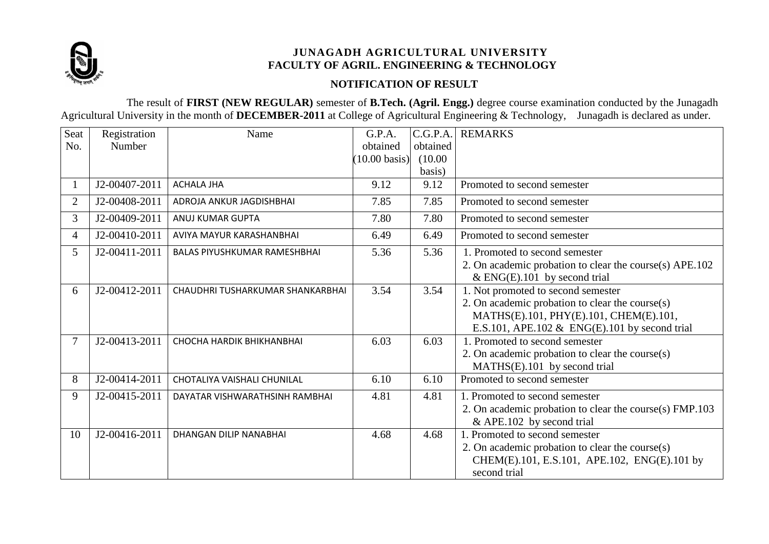

## **NOTIFICATION OF RESULT**

The result of **FIRST (NEW REGULAR)** semester of **B.Tech. (Agril. Engg.)** degree course examination conducted by the Junagadh Agricultural University in the month of **DECEMBER-2011** at College of Agricultural Engineering & Technology, Junagadh is declared as under.

| Seat           | Registration  | Name                                | G.P.A.                  | C.G.P.A. | <b>REMARKS</b>                                          |
|----------------|---------------|-------------------------------------|-------------------------|----------|---------------------------------------------------------|
| No.            | Number        |                                     | obtained                | obtained |                                                         |
|                |               |                                     | $(10.00 \text{ basis})$ | (10.00)  |                                                         |
|                |               |                                     |                         | basis)   |                                                         |
|                | J2-00407-2011 | <b>ACHALA JHA</b>                   | 9.12                    | 9.12     | Promoted to second semester                             |
| $\overline{2}$ | J2-00408-2011 | ADROJA ANKUR JAGDISHBHAI            | 7.85                    | 7.85     | Promoted to second semester                             |
| 3              | J2-00409-2011 | ANUJ KUMAR GUPTA                    | 7.80                    | 7.80     | Promoted to second semester                             |
| 4              | J2-00410-2011 | AVIYA MAYUR KARASHANBHAI            | 6.49                    | 6.49     | Promoted to second semester                             |
| 5              | J2-00411-2011 | <b>BALAS PIYUSHKUMAR RAMESHBHAI</b> | 5.36                    | 5.36     | 1. Promoted to second semester                          |
|                |               |                                     |                         |          | 2. On academic probation to clear the course(s) APE.102 |
|                |               |                                     |                         |          | $&$ ENG(E).101 by second trial                          |
| 6              | J2-00412-2011 | CHAUDHRI TUSHARKUMAR SHANKARBHAI    | 3.54                    | 3.54     | 1. Not promoted to second semester                      |
|                |               |                                     |                         |          | 2. On academic probation to clear the course(s)         |
|                |               |                                     |                         |          | MATHS(E).101, PHY(E).101, CHEM(E).101,                  |
|                |               |                                     |                         |          | E.S.101, APE.102 & ENG(E).101 by second trial           |
| 7              | J2-00413-2011 | <b>CHOCHA HARDIK BHIKHANBHAI</b>    | 6.03                    | 6.03     | 1. Promoted to second semester                          |
|                |               |                                     |                         |          | 2. On academic probation to clear the course(s)         |
|                |               |                                     |                         |          | MATHS(E).101 by second trial                            |
| 8              | J2-00414-2011 | CHOTALIYA VAISHALI CHUNILAL         | 6.10                    | 6.10     | Promoted to second semester                             |
| 9              | J2-00415-2011 | DAYATAR VISHWARATHSINH RAMBHAI      | 4.81                    | 4.81     | 1. Promoted to second semester                          |
|                |               |                                     |                         |          | 2. On academic probation to clear the course(s) FMP.103 |
|                |               |                                     |                         |          | & APE.102 by second trial                               |
| 10             | J2-00416-2011 | <b>DHANGAN DILIP NANABHAI</b>       | 4.68                    | 4.68     | 1. Promoted to second semester                          |
|                |               |                                     |                         |          | 2. On academic probation to clear the course(s)         |
|                |               |                                     |                         |          | CHEM(E).101, E.S.101, APE.102, ENG(E).101 by            |
|                |               |                                     |                         |          | second trial                                            |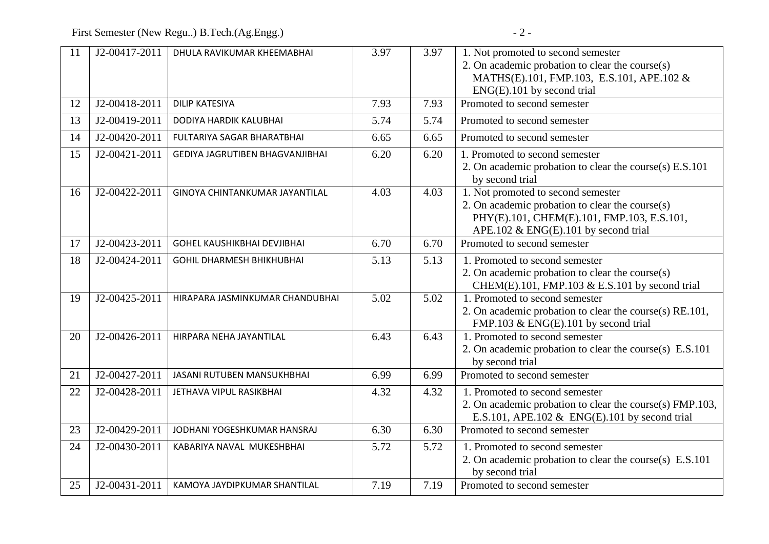First Semester (New Regu..) B.Tech.(Ag.Engg.)  $-2$  -

| 11 | J2-00417-2011 | DHULA RAVIKUMAR KHEEMABHAI             | 3.97 | 3.97              | 1. Not promoted to second semester                       |
|----|---------------|----------------------------------------|------|-------------------|----------------------------------------------------------|
|    |               |                                        |      |                   | 2. On academic probation to clear the course(s)          |
|    |               |                                        |      |                   | MATHS(E).101, FMP.103, E.S.101, APE.102 &                |
|    |               |                                        |      |                   | ENG(E).101 by second trial                               |
| 12 | J2-00418-2011 | <b>DILIP KATESIYA</b>                  | 7.93 | 7.93              | Promoted to second semester                              |
| 13 | J2-00419-2011 | DODIYA HARDIK KALUBHAI                 | 5.74 | 5.74              | Promoted to second semester                              |
| 14 | J2-00420-2011 | FULTARIYA SAGAR BHARATBHAI             | 6.65 | 6.65              | Promoted to second semester                              |
| 15 | J2-00421-2011 | <b>GEDIYA JAGRUTIBEN BHAGVANJIBHAI</b> | 6.20 | 6.20              | 1. Promoted to second semester                           |
|    |               |                                        |      |                   | 2. On academic probation to clear the course(s) E.S.101  |
|    |               |                                        |      |                   | by second trial                                          |
| 16 | J2-00422-2011 | GINOYA CHINTANKUMAR JAYANTILAL         | 4.03 | 4.03              | 1. Not promoted to second semester                       |
|    |               |                                        |      |                   | 2. On academic probation to clear the course(s)          |
|    |               |                                        |      |                   | PHY(E).101, CHEM(E).101, FMP.103, E.S.101,               |
|    |               |                                        |      |                   | APE.102 & ENG(E).101 by second trial                     |
| 17 | J2-00423-2011 | <b>GOHEL KAUSHIKBHAI DEVJIBHAI</b>     | 6.70 | 6.70              | Promoted to second semester                              |
| 18 | J2-00424-2011 | <b>GOHIL DHARMESH BHIKHUBHAI</b>       | 5.13 | 5.13              | 1. Promoted to second semester                           |
|    |               |                                        |      |                   | 2. On academic probation to clear the course(s)          |
|    |               |                                        |      |                   | CHEM(E).101, FMP.103 & E.S.101 by second trial           |
| 19 | J2-00425-2011 | HIRAPARA JASMINKUMAR CHANDUBHAI        | 5.02 | $\overline{5.02}$ | 1. Promoted to second semester                           |
|    |               |                                        |      |                   | 2. On academic probation to clear the course(s) RE.101,  |
|    |               |                                        |      |                   | FMP.103 & ENG(E).101 by second trial                     |
| 20 | J2-00426-2011 | HIRPARA NEHA JAYANTILAL                | 6.43 | 6.43              | 1. Promoted to second semester                           |
|    |               |                                        |      |                   | 2. On academic probation to clear the course(s) E.S.101  |
|    |               |                                        |      |                   | by second trial                                          |
| 21 | J2-00427-2011 | <b>JASANI RUTUBEN MANSUKHBHAI</b>      | 6.99 | 6.99              | Promoted to second semester                              |
| 22 | J2-00428-2011 | JETHAVA VIPUL RASIKBHAI                | 4.32 | 4.32              | 1. Promoted to second semester                           |
|    |               |                                        |      |                   | 2. On academic probation to clear the course(s) FMP.103, |
|    |               |                                        |      |                   | E.S.101, APE.102 & ENG(E).101 by second trial            |
| 23 | J2-00429-2011 | JODHANI YOGESHKUMAR HANSRAJ            | 6.30 | 6.30              | Promoted to second semester                              |
| 24 | J2-00430-2011 | KABARIYA NAVAL MUKESHBHAI              | 5.72 | 5.72              | 1. Promoted to second semester                           |
|    |               |                                        |      |                   | 2. On academic probation to clear the course(s) E.S.101  |
|    |               |                                        |      |                   | by second trial                                          |
| 25 | J2-00431-2011 | KAMOYA JAYDIPKUMAR SHANTILAL           | 7.19 | 7.19              | Promoted to second semester                              |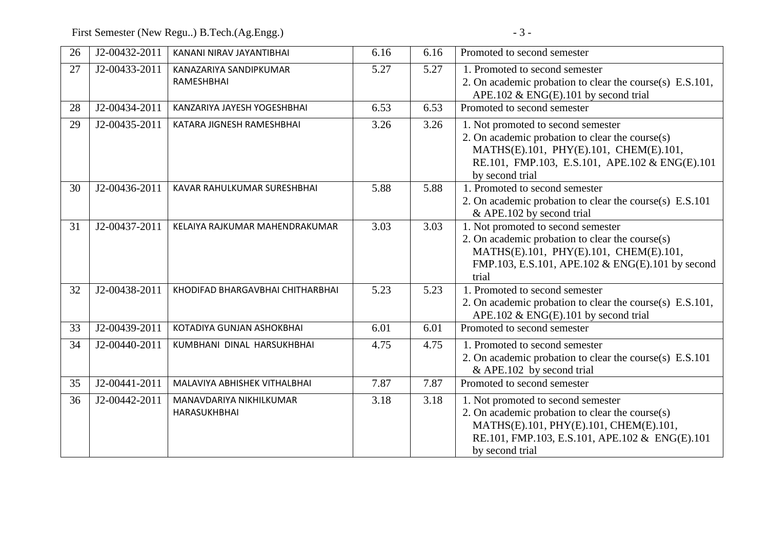First Semester (New Regu..) B.Tech.(Ag.Engg.) - 3 -

| 26 | J2-00432-2011 | KANANI NIRAV JAYANTIBHAI                | 6.16 | 6.16 | Promoted to second semester                                                                                                                                                                          |
|----|---------------|-----------------------------------------|------|------|------------------------------------------------------------------------------------------------------------------------------------------------------------------------------------------------------|
| 27 | J2-00433-2011 | KANAZARIYA SANDIPKUMAR<br>RAMESHBHAI    | 5.27 | 5.27 | 1. Promoted to second semester<br>2. On academic probation to clear the course(s) E.S.101,                                                                                                           |
|    |               |                                         |      |      | APE.102 & ENG(E).101 by second trial                                                                                                                                                                 |
| 28 | J2-00434-2011 | KANZARIYA JAYESH YOGESHBHAI             | 6.53 | 6.53 | Promoted to second semester                                                                                                                                                                          |
| 29 | J2-00435-2011 | KATARA JIGNESH RAMESHBHAI               | 3.26 | 3.26 | 1. Not promoted to second semester<br>2. On academic probation to clear the course(s)<br>MATHS(E).101, PHY(E).101, CHEM(E).101,<br>RE.101, FMP.103, E.S.101, APE.102 & ENG(E).101<br>by second trial |
| 30 | J2-00436-2011 | KAVAR RAHULKUMAR SURESHBHAI             | 5.88 | 5.88 | 1. Promoted to second semester<br>2. On academic probation to clear the course(s) E.S.101<br>& APE.102 by second trial                                                                               |
| 31 | J2-00437-2011 | KELAIYA RAJKUMAR MAHENDRAKUMAR          | 3.03 | 3.03 | 1. Not promoted to second semester<br>2. On academic probation to clear the course(s)<br>MATHS(E).101, PHY(E).101, CHEM(E).101,<br>FMP.103, E.S.101, APE.102 & ENG(E).101 by second<br>trial         |
| 32 | J2-00438-2011 | KHODIFAD BHARGAVBHAI CHITHARBHAI        | 5.23 | 5.23 | 1. Promoted to second semester<br>2. On academic probation to clear the course(s) E.S.101,<br>APE.102 & ENG(E).101 by second trial                                                                   |
| 33 | J2-00439-2011 | KOTADIYA GUNJAN ASHOKBHAI               | 6.01 | 6.01 | Promoted to second semester                                                                                                                                                                          |
| 34 | J2-00440-2011 | KUMBHANI DINAL HARSUKHBHAI              | 4.75 | 4.75 | 1. Promoted to second semester<br>2. On academic probation to clear the course(s) E.S.101<br>& APE.102 by second trial                                                                               |
| 35 | J2-00441-2011 | MALAVIYA ABHISHEK VITHALBHAI            | 7.87 | 7.87 | Promoted to second semester                                                                                                                                                                          |
| 36 | J2-00442-2011 | MANAVDARIYA NIKHILKUMAR<br>HARASUKHBHAI | 3.18 | 3.18 | 1. Not promoted to second semester<br>2. On academic probation to clear the course(s)<br>MATHS(E).101, PHY(E).101, CHEM(E).101,<br>RE.101, FMP.103, E.S.101, APE.102 & ENG(E).101<br>by second trial |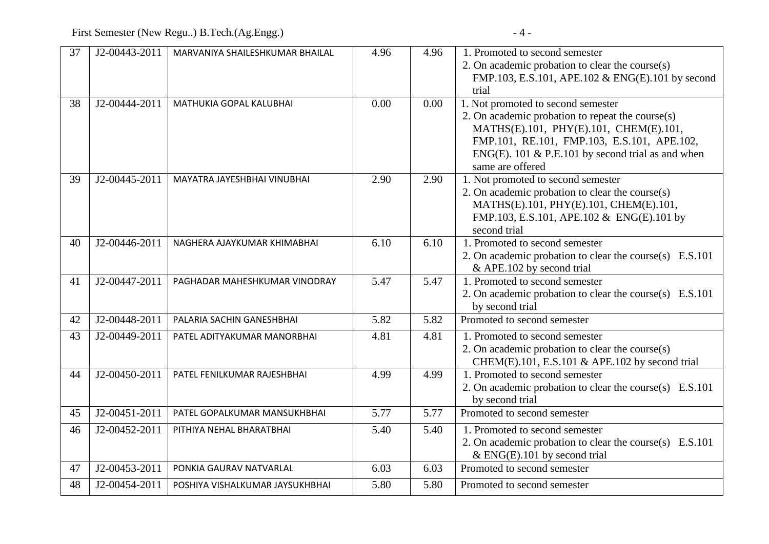| 37 | J2-00443-2011 | MARVANIYA SHAILESHKUMAR BHAILAL | 4.96 | 4.96 | 1. Promoted to second semester                          |
|----|---------------|---------------------------------|------|------|---------------------------------------------------------|
|    |               |                                 |      |      | 2. On academic probation to clear the course(s)         |
|    |               |                                 |      |      | FMP.103, E.S.101, APE.102 & ENG(E).101 by second        |
|    |               |                                 |      |      | trial                                                   |
| 38 | J2-00444-2011 | MATHUKIA GOPAL KALUBHAI         | 0.00 | 0.00 | 1. Not promoted to second semester                      |
|    |               |                                 |      |      | 2. On academic probation to repeat the course(s)        |
|    |               |                                 |      |      | MATHS(E).101, PHY(E).101, CHEM(E).101,                  |
|    |               |                                 |      |      | FMP.101, RE.101, FMP.103, E.S.101, APE.102,             |
|    |               |                                 |      |      | ENG(E). 101 & P.E.101 by second trial as and when       |
|    |               |                                 |      |      | same are offered                                        |
| 39 | J2-00445-2011 | MAYATRA JAYESHBHAI VINUBHAI     | 2.90 | 2.90 | 1. Not promoted to second semester                      |
|    |               |                                 |      |      | 2. On academic probation to clear the course(s)         |
|    |               |                                 |      |      | MATHS(E).101, PHY(E).101, CHEM(E).101,                  |
|    |               |                                 |      |      | FMP.103, E.S.101, APE.102 & ENG(E).101 by               |
|    |               |                                 |      |      | second trial                                            |
| 40 | J2-00446-2011 | NAGHERA AJAYKUMAR KHIMABHAI     | 6.10 | 6.10 | 1. Promoted to second semester                          |
|    |               |                                 |      |      | 2. On academic probation to clear the course(s) E.S.101 |
|    |               |                                 |      |      | & APE.102 by second trial                               |
| 41 | J2-00447-2011 | PAGHADAR MAHESHKUMAR VINODRAY   | 5.47 | 5.47 | 1. Promoted to second semester                          |
|    |               |                                 |      |      | 2. On academic probation to clear the course(s) E.S.101 |
|    |               |                                 |      |      | by second trial                                         |
| 42 | J2-00448-2011 | PALARIA SACHIN GANESHBHAI       | 5.82 | 5.82 | Promoted to second semester                             |
| 43 | J2-00449-2011 | PATEL ADITYAKUMAR MANORBHAI     | 4.81 | 4.81 | 1. Promoted to second semester                          |
|    |               |                                 |      |      | 2. On academic probation to clear the course(s)         |
|    |               |                                 |      |      | CHEM(E).101, E.S.101 & APE.102 by second trial          |
| 44 | J2-00450-2011 | PATEL FENILKUMAR RAJESHBHAI     | 4.99 | 4.99 | 1. Promoted to second semester                          |
|    |               |                                 |      |      | 2. On academic probation to clear the course(s) E.S.101 |
|    |               |                                 |      |      | by second trial                                         |
| 45 | J2-00451-2011 | PATEL GOPALKUMAR MANSUKHBHAI    | 5.77 | 5.77 | Promoted to second semester                             |
| 46 | J2-00452-2011 | PITHIYA NEHAL BHARATBHAI        | 5.40 | 5.40 | 1. Promoted to second semester                          |
|    |               |                                 |      |      | 2. On academic probation to clear the course(s) E.S.101 |
|    |               |                                 |      |      | $&$ ENG(E).101 by second trial                          |
| 47 | J2-00453-2011 | PONKIA GAURAV NATVARLAL         | 6.03 | 6.03 | Promoted to second semester                             |
| 48 | J2-00454-2011 | POSHIYA VISHALKUMAR JAYSUKHBHAI | 5.80 | 5.80 | Promoted to second semester                             |
|    |               |                                 |      |      |                                                         |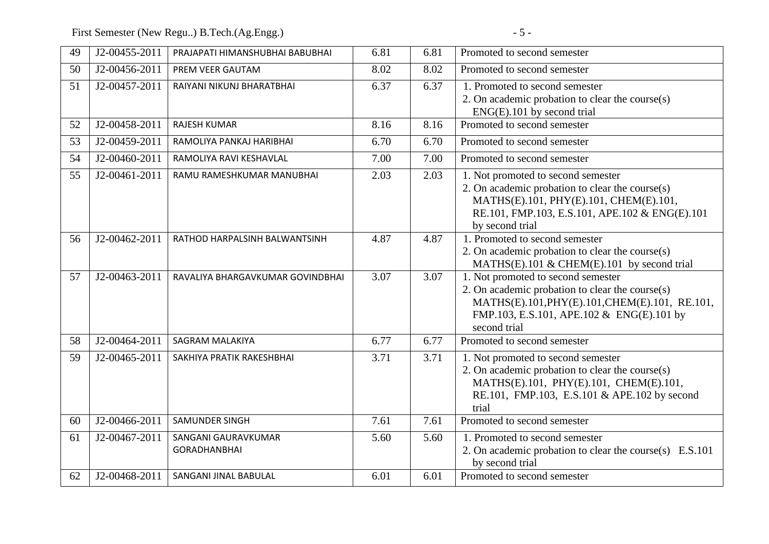First Semester (New Regu..) B.Tech.(Ag.Engg.) - 5 -

| 49 | J2-00455-2011 | PRAJAPATI HIMANSHUBHAI BABUBHAI            | 6.81 | 6.81 | Promoted to second semester                                                                                                                                                                          |
|----|---------------|--------------------------------------------|------|------|------------------------------------------------------------------------------------------------------------------------------------------------------------------------------------------------------|
| 50 | J2-00456-2011 | PREM VEER GAUTAM                           | 8.02 | 8.02 | Promoted to second semester                                                                                                                                                                          |
| 51 | J2-00457-2011 | RAIYANI NIKUNJ BHARATBHAI                  | 6.37 | 6.37 | 1. Promoted to second semester<br>2. On academic probation to clear the course(s)<br>ENG(E).101 by second trial                                                                                      |
| 52 | J2-00458-2011 | <b>RAJESH KUMAR</b>                        | 8.16 | 8.16 | Promoted to second semester                                                                                                                                                                          |
| 53 | J2-00459-2011 | RAMOLIYA PANKAJ HARIBHAI                   | 6.70 | 6.70 | Promoted to second semester                                                                                                                                                                          |
| 54 | J2-00460-2011 | RAMOLIYA RAVI KESHAVLAL                    | 7.00 | 7.00 | Promoted to second semester                                                                                                                                                                          |
| 55 | J2-00461-2011 | RAMU RAMESHKUMAR MANUBHAI                  | 2.03 | 2.03 | 1. Not promoted to second semester<br>2. On academic probation to clear the course(s)<br>MATHS(E).101, PHY(E).101, CHEM(E).101,<br>RE.101, FMP.103, E.S.101, APE.102 & ENG(E).101<br>by second trial |
| 56 | J2-00462-2011 | RATHOD HARPALSINH BALWANTSINH              | 4.87 | 4.87 | 1. Promoted to second semester<br>2. On academic probation to clear the course(s)<br>MATHS(E).101 & CHEM(E).101 by second trial                                                                      |
| 57 | J2-00463-2011 | RAVALIYA BHARGAVKUMAR GOVINDBHAI           | 3.07 | 3.07 | 1. Not promoted to second semester<br>2. On academic probation to clear the course(s)<br>MATHS(E).101, PHY(E).101, CHEM(E).101, RE.101,<br>FMP.103, E.S.101, APE.102 & ENG(E).101 by<br>second trial |
| 58 | J2-00464-2011 | <b>SAGRAM MALAKIYA</b>                     | 6.77 | 6.77 | Promoted to second semester                                                                                                                                                                          |
| 59 | J2-00465-2011 | SAKHIYA PRATIK RAKESHBHAI                  | 3.71 | 3.71 | 1. Not promoted to second semester<br>2. On academic probation to clear the course(s)<br>MATHS(E).101, PHY(E).101, CHEM(E).101,<br>RE.101, FMP.103, E.S.101 & APE.102 by second<br>trial             |
| 60 | J2-00466-2011 | <b>SAMUNDER SINGH</b>                      | 7.61 | 7.61 | Promoted to second semester                                                                                                                                                                          |
| 61 | J2-00467-2011 | SANGANI GAURAVKUMAR<br><b>GORADHANBHAI</b> | 5.60 | 5.60 | 1. Promoted to second semester<br>2. On academic probation to clear the course(s) E.S.101<br>by second trial                                                                                         |
| 62 | J2-00468-2011 | SANGANI JINAL BABULAL                      | 6.01 | 6.01 | Promoted to second semester                                                                                                                                                                          |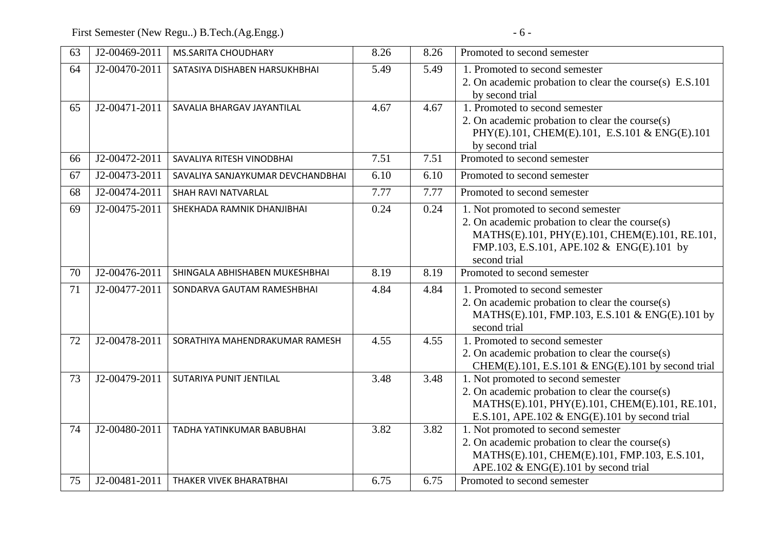First Semester (New Regu..) B.Tech.(Ag.Engg.) - 6 -

| 63       | J2-00469-2011                  | <b>MS.SARITA CHOUDHARY</b>                           | 8.26         | 8.26         | Promoted to second semester                                                                                                                                                                                  |
|----------|--------------------------------|------------------------------------------------------|--------------|--------------|--------------------------------------------------------------------------------------------------------------------------------------------------------------------------------------------------------------|
| 64       | J2-00470-2011                  | SATASIYA DISHABEN HARSUKHBHAI                        | 5.49         | 5.49         | 1. Promoted to second semester<br>2. On academic probation to clear the course(s) E.S.101<br>by second trial                                                                                                 |
| 65       | J2-00471-2011                  | SAVALIA BHARGAV JAYANTILAL                           | 4.67         | 4.67         | 1. Promoted to second semester<br>2. On academic probation to clear the course(s)<br>PHY(E).101, CHEM(E).101, E.S.101 & ENG(E).101<br>by second trial                                                        |
| 66       | J2-00472-2011                  | SAVALIYA RITESH VINODBHAI                            | 7.51         | 7.51         | Promoted to second semester                                                                                                                                                                                  |
| 67       | J2-00473-2011                  | SAVALIYA SANJAYKUMAR DEVCHANDBHAI                    | 6.10         | 6.10         | Promoted to second semester                                                                                                                                                                                  |
| 68       | J2-00474-2011                  | SHAH RAVI NATVARLAL                                  | 7.77         | 7.77         | Promoted to second semester                                                                                                                                                                                  |
| 69       | J2-00475-2011                  | SHEKHADA RAMNIK DHANJIBHAI                           | 0.24         | 0.24         | 1. Not promoted to second semester<br>2. On academic probation to clear the course(s)<br>MATHS(E).101, PHY(E).101, CHEM(E).101, RE.101,<br>FMP.103, E.S.101, APE.102 & ENG(E).101 by<br>second trial         |
| 70       | J2-00476-2011                  | SHINGALA ABHISHABEN MUKESHBHAI                       | 8.19         | 8.19         | Promoted to second semester                                                                                                                                                                                  |
| 71       | J2-00477-2011                  | SONDARVA GAUTAM RAMESHBHAI                           | 4.84         | 4.84         | 1. Promoted to second semester<br>2. On academic probation to clear the course(s)<br>MATHS(E).101, FMP.103, E.S.101 & ENG(E).101 by<br>second trial                                                          |
| 72       | J2-00478-2011                  | SORATHIYA MAHENDRAKUMAR RAMESH                       | 4.55         | 4.55         | 1. Promoted to second semester<br>2. On academic probation to clear the course(s)<br>CHEM(E).101, E.S.101 & ENG(E).101 by second trial                                                                       |
| 73       | J2-00479-2011                  | SUTARIYA PUNIT JENTILAL                              | 3.48         | 3.48         | 1. Not promoted to second semester<br>2. On academic probation to clear the course(s)<br>MATHS(E).101, PHY(E).101, CHEM(E).101, RE.101,<br>E.S.101, APE.102 & ENG(E).101 by second trial                     |
| 74<br>75 | J2-00480-2011<br>J2-00481-2011 | TADHA YATINKUMAR BABUBHAI<br>THAKER VIVEK BHARATBHAI | 3.82<br>6.75 | 3.82<br>6.75 | 1. Not promoted to second semester<br>2. On academic probation to clear the course(s)<br>MATHS(E).101, CHEM(E).101, FMP.103, E.S.101,<br>APE.102 & ENG(E).101 by second trial<br>Promoted to second semester |
|          |                                |                                                      |              |              |                                                                                                                                                                                                              |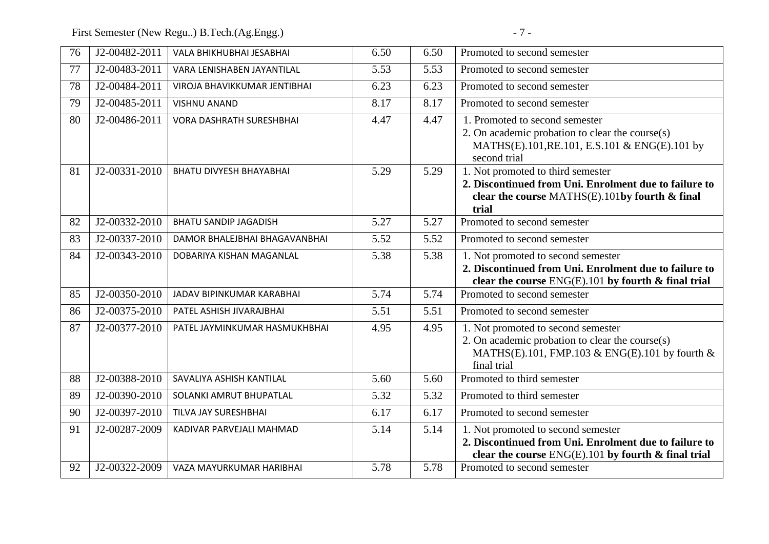First Semester (New Regu..) B.Tech.(Ag.Engg.) - 7 -

| 76       | J2-00482-2011                  | VALA BHIKHUBHAI JESABHAI                             | 6.50         | 6.50         | Promoted to second semester                                                                                                                                                          |
|----------|--------------------------------|------------------------------------------------------|--------------|--------------|--------------------------------------------------------------------------------------------------------------------------------------------------------------------------------------|
| 77       | J2-00483-2011                  | VARA LENISHABEN JAYANTILAL                           | 5.53         | 5.53         | Promoted to second semester                                                                                                                                                          |
| 78       | J2-00484-2011                  | VIROJA BHAVIKKUMAR JENTIBHAI                         | 6.23         | 6.23         | Promoted to second semester                                                                                                                                                          |
| 79       | $\overline{J2}$ -00485-2011    | <b>VISHNU ANAND</b>                                  | 8.17         | 8.17         | Promoted to second semester                                                                                                                                                          |
| 80       | J2-00486-2011                  | <b>VORA DASHRATH SURESHBHAI</b>                      | 4.47         | 4.47         | 1. Promoted to second semester<br>2. On academic probation to clear the course(s)<br>MATHS(E).101, RE.101, E.S.101 & ENG(E).101 by<br>second trial                                   |
| 81       | J2-00331-2010                  | <b>BHATU DIVYESH BHAYABHAI</b>                       | 5.29         | 5.29         | 1. Not promoted to third semester<br>2. Discontinued from Uni. Enrolment due to failure to<br>clear the course MATHS(E).101by fourth & final<br>trial                                |
| 82       | J2-00332-2010                  | <b>BHATU SANDIP JAGADISH</b>                         | 5.27         | 5.27         | Promoted to second semester                                                                                                                                                          |
| 83       | J2-00337-2010                  | DAMOR BHALEJBHAI BHAGAVANBHAI                        | 5.52         | 5.52         | Promoted to second semester                                                                                                                                                          |
| 84       | J2-00343-2010                  | DOBARIYA KISHAN MAGANLAL                             | 5.38         | 5.38         | 1. Not promoted to second semester<br>2. Discontinued from Uni. Enrolment due to failure to<br>clear the course $ENG(E)$ .101 by fourth & final trial                                |
| 85       | J2-00350-2010                  | JADAV BIPINKUMAR KARABHAI                            | 5.74         | 5.74         | Promoted to second semester                                                                                                                                                          |
| 86       | J2-00375-2010                  | PATEL ASHISH JIVARAJBHAI                             | 5.51         | 5.51         | Promoted to second semester                                                                                                                                                          |
|          | J2-00377-2010                  |                                                      |              |              |                                                                                                                                                                                      |
| 87       |                                | PATEL JAYMINKUMAR HASMUKHBHAI                        | 4.95         | 4.95         | 1. Not promoted to second semester<br>2. On academic probation to clear the course(s)<br>MATHS(E).101, FMP.103 & ENG(E).101 by fourth $\&$<br>final trial                            |
| 88       | J2-00388-2010                  | SAVALIYA ASHISH KANTILAL                             | 5.60         | 5.60         | Promoted to third semester                                                                                                                                                           |
| 89       | J2-00390-2010                  | SOLANKI AMRUT BHUPATLAL                              | 5.32         | 5.32         | Promoted to third semester                                                                                                                                                           |
| 90       | J2-00397-2010                  | TILVA JAY SURESHBHAI                                 | 6.17         | 6.17         | Promoted to second semester                                                                                                                                                          |
| 91<br>92 | J2-00287-2009<br>J2-00322-2009 | KADIVAR PARVEJALI MAHMAD<br>VAZA MAYURKUMAR HARIBHAI | 5.14<br>5.78 | 5.14<br>5.78 | 1. Not promoted to second semester<br>2. Discontinued from Uni. Enrolment due to failure to<br>clear the course $ENG(E)$ .101 by fourth & final trial<br>Promoted to second semester |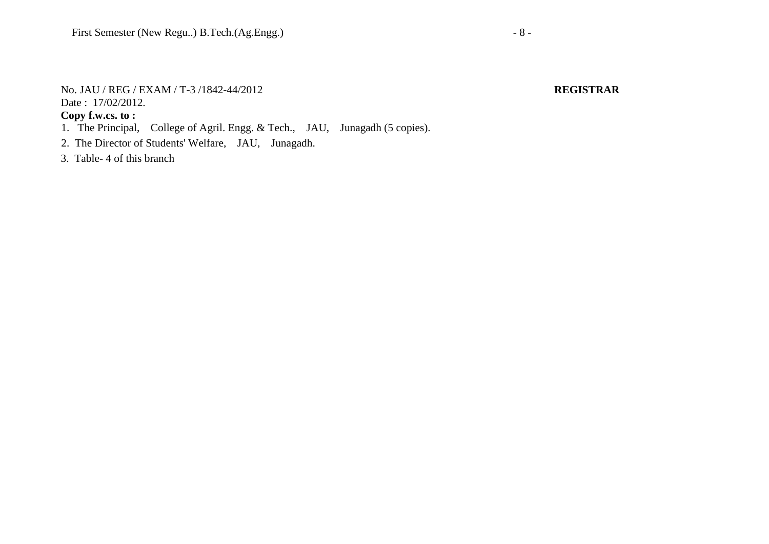#### No. JAU / REG / EXAM / T-3 /1842-44/2012 **REGISTRAR** Date: 17/02/2012.

- 1. The Principal, College of Agril. Engg. & Tech., JAU, Junagadh (5 copies).
- 2. The Director of Students' Welfare, JAU, Junagadh.
- 3. Table- 4 of this branch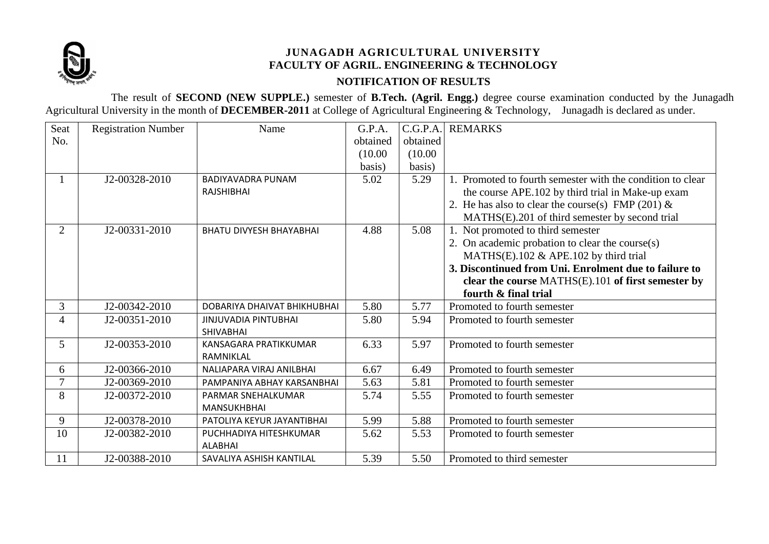

## **JUNAGADH AGRICULTURAL UNIVERSITY FACULTY OF AGRIL. ENGINEERING & TECHNOLOGY NOTIFICATION OF RESULTS**

The result of **SECOND (NEW SUPPLE.)** semester of **B.Tech. (Agril. Engg.)** degree course examination conducted by the Junagadh Agricultural University in the month of **DECEMBER-2011** at College of Agricultural Engineering & Technology, Junagadh is declared as under.

| Seat           | <b>Registration Number</b> | Name                           | G.P.A.   | C.G.P.A. | <b>REMARKS</b>                                             |
|----------------|----------------------------|--------------------------------|----------|----------|------------------------------------------------------------|
| No.            |                            |                                | obtained | obtained |                                                            |
|                |                            |                                | (10.00)  | (10.00)  |                                                            |
|                |                            |                                | basis)   | basis)   |                                                            |
|                | J2-00328-2010              | <b>BADIYAVADRA PUNAM</b>       | 5.02     | 5.29     | 1. Promoted to fourth semester with the condition to clear |
|                |                            | RAJSHIBHAI                     |          |          | the course APE.102 by third trial in Make-up exam          |
|                |                            |                                |          |          | 2. He has also to clear the course(s) FMP (201) $\&$       |
|                |                            |                                |          |          | MATHS(E).201 of third semester by second trial             |
| $\overline{2}$ | J2-00331-2010              | <b>BHATU DIVYESH BHAYABHAI</b> | 4.88     | 5.08     | 1. Not promoted to third semester                          |
|                |                            |                                |          |          | 2. On academic probation to clear the course(s)            |
|                |                            |                                |          |          | MATHS(E).102 & APE.102 by third trial                      |
|                |                            |                                |          |          | 3. Discontinued from Uni. Enrolment due to failure to      |
|                |                            |                                |          |          | clear the course MATHS(E).101 of first semester by         |
|                |                            |                                |          |          | fourth & final trial                                       |
| 3              | $J2 - 00342 - 2010$        | DOBARIYA DHAIVAT BHIKHUBHAI    | 5.80     | 5.77     | Promoted to fourth semester                                |
| 4              | J2-00351-2010              | <b>JINJUVADIA PINTUBHAI</b>    | 5.80     | 5.94     | Promoted to fourth semester                                |
|                |                            | <b>SHIVABHAI</b>               |          |          |                                                            |
| 5              | J2-00353-2010              | KANSAGARA PRATIKKUMAR          | 6.33     | 5.97     | Promoted to fourth semester                                |
|                |                            | RAMNIKLAL                      |          |          |                                                            |
| 6              | J2-00366-2010              | NALIAPARA VIRAJ ANILBHAI       | 6.67     | 6.49     | Promoted to fourth semester                                |
| 7              | J2-00369-2010              | PAMPANIYA ABHAY KARSANBHAI     | 5.63     | 5.81     | Promoted to fourth semester                                |
| 8              | J2-00372-2010              | PARMAR SNEHALKUMAR             | 5.74     | 5.55     | Promoted to fourth semester                                |
|                |                            | <b>MANSUKHBHAI</b>             |          |          |                                                            |
| 9              | J2-00378-2010              | PATOLIYA KEYUR JAYANTIBHAI     | 5.99     | 5.88     | Promoted to fourth semester                                |
| 10             | J2-00382-2010              | PUCHHADIYA HITESHKUMAR         | 5.62     | 5.53     | Promoted to fourth semester                                |
|                |                            | <b>ALABHAI</b>                 |          |          |                                                            |
| 11             | J2-00388-2010              | SAVALIYA ASHISH KANTILAL       | 5.39     | 5.50     | Promoted to third semester                                 |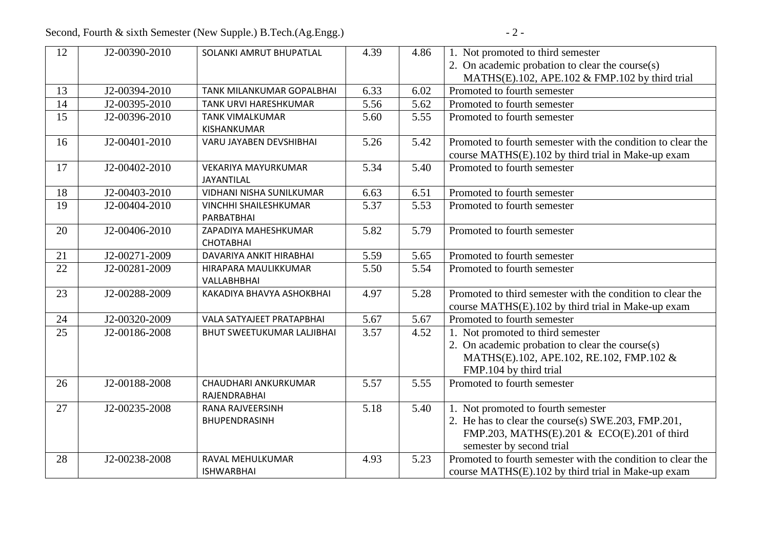Second, Fourth & sixth Semester (New Supple.) B.Tech.(Ag.Engg.) - 2 -

| 12 | J2-00390-2010 | SOLANKI AMRUT BHUPATLAL      | 4.39 | 4.86 | 1. Not promoted to third semester                           |
|----|---------------|------------------------------|------|------|-------------------------------------------------------------|
|    |               |                              |      |      | 2. On academic probation to clear the course(s)             |
|    |               |                              |      |      | MATHS(E).102, APE.102 & FMP.102 by third trial              |
| 13 | J2-00394-2010 | TANK MILANKUMAR GOPALBHAI    | 6.33 | 6.02 | Promoted to fourth semester                                 |
| 14 | J2-00395-2010 | TANK URVI HARESHKUMAR        | 5.56 | 5.62 | Promoted to fourth semester                                 |
| 15 | J2-00396-2010 | <b>TANK VIMALKUMAR</b>       | 5.60 | 5.55 | Promoted to fourth semester                                 |
|    |               | KISHANKUMAR                  |      |      |                                                             |
| 16 | J2-00401-2010 | VARU JAYABEN DEVSHIBHAI      | 5.26 | 5.42 | Promoted to fourth semester with the condition to clear the |
|    |               |                              |      |      | course MATHS(E).102 by third trial in Make-up exam          |
| 17 | J2-00402-2010 | <b>VEKARIYA MAYURKUMAR</b>   | 5.34 | 5.40 | Promoted to fourth semester                                 |
|    |               | JAYANTILAL                   |      |      |                                                             |
| 18 | J2-00403-2010 | VIDHANI NISHA SUNILKUMAR     | 6.63 | 6.51 | Promoted to fourth semester                                 |
| 19 | J2-00404-2010 | <b>VINCHHI SHAILESHKUMAR</b> | 5.37 | 5.53 | Promoted to fourth semester                                 |
|    |               | PARBATBHAI                   |      |      |                                                             |
| 20 | J2-00406-2010 | ZAPADIYA MAHESHKUMAR         | 5.82 | 5.79 | Promoted to fourth semester                                 |
|    |               | <b>CHOTABHAI</b>             |      |      |                                                             |
| 21 | J2-00271-2009 | DAVARIYA ANKIT HIRABHAI      | 5.59 | 5.65 | Promoted to fourth semester                                 |
| 22 | J2-00281-2009 | HIRAPARA MAULIKKUMAR         | 5.50 | 5.54 | Promoted to fourth semester                                 |
|    |               | VALLABHBHAI                  |      |      |                                                             |
| 23 | J2-00288-2009 | KAKADIYA BHAVYA ASHOKBHAI    | 4.97 | 5.28 | Promoted to third semester with the condition to clear the  |
|    |               |                              |      |      | course MATHS(E).102 by third trial in Make-up exam          |
| 24 | J2-00320-2009 | VALA SATYAJEET PRATAPBHAI    | 5.67 | 5.67 | Promoted to fourth semester                                 |
| 25 | J2-00186-2008 | BHUT SWEETUKUMAR LALJIBHAI   | 3.57 | 4.52 | 1. Not promoted to third semester                           |
|    |               |                              |      |      | 2. On academic probation to clear the course(s)             |
|    |               |                              |      |      | MATHS(E).102, APE.102, RE.102, FMP.102 &                    |
|    |               |                              |      |      | FMP.104 by third trial                                      |
| 26 | J2-00188-2008 | CHAUDHARI ANKURKUMAR         | 5.57 | 5.55 | Promoted to fourth semester                                 |
|    |               | RAJENDRABHAI                 |      |      |                                                             |
| 27 | J2-00235-2008 | RANA RAJVEERSINH             | 5.18 | 5.40 | 1. Not promoted to fourth semester                          |
|    |               | BHUPENDRASINH                |      |      | 2. He has to clear the course(s) SWE.203, FMP.201,          |
|    |               |                              |      |      | FMP.203, MATHS(E).201 & ECO(E).201 of third                 |
|    |               |                              |      |      | semester by second trial                                    |
| 28 | J2-00238-2008 | RAVAL MEHULKUMAR             | 4.93 | 5.23 | Promoted to fourth semester with the condition to clear the |
|    |               | <b>ISHWARBHAI</b>            |      |      | course MATHS(E).102 by third trial in Make-up exam          |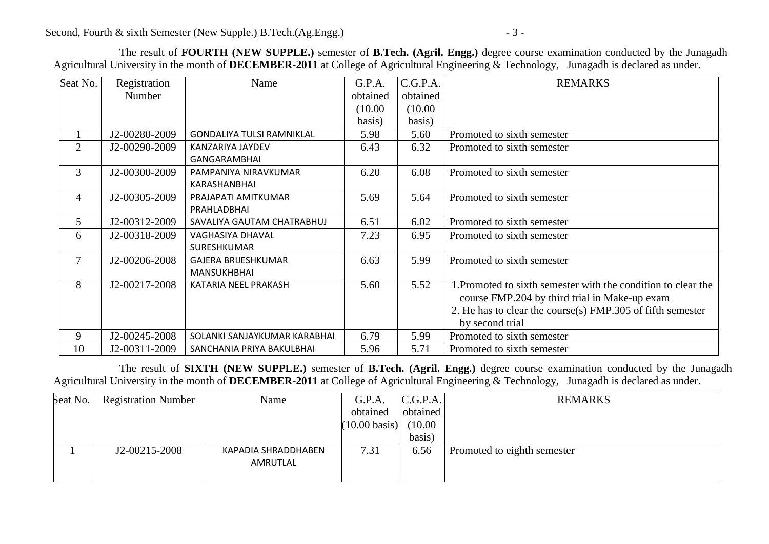The result of **FOURTH (NEW SUPPLE.)** semester of **B.Tech. (Agril. Engg.)** degree course examination conducted by the Junagadh Agricultural University in the month of **DECEMBER-2011** at College of Agricultural Engineering & Technology, Junagadh is declared as under.

| Seat No.       | Registration  | Name                             | G.P.A.   | C.G.P.A. | <b>REMARKS</b>                                                |
|----------------|---------------|----------------------------------|----------|----------|---------------------------------------------------------------|
|                | Number        |                                  | obtained | obtained |                                                               |
|                |               |                                  | (10.00)  | (10.00)  |                                                               |
|                |               |                                  | basis)   | basis)   |                                                               |
|                | J2-00280-2009 | <b>GONDALIYA TULSI RAMNIKLAL</b> | 5.98     | 5.60     | Promoted to sixth semester                                    |
| $\overline{2}$ | J2-00290-2009 | KANZARIYA JAYDEV                 | 6.43     | 6.32     | Promoted to sixth semester                                    |
|                |               | <b>GANGARAMBHAI</b>              |          |          |                                                               |
| 3              | J2-00300-2009 | PAMPANIYA NIRAVKUMAR             | 6.20     | 6.08     | Promoted to sixth semester                                    |
|                |               | KARASHANBHAI                     |          |          |                                                               |
| $\overline{4}$ | J2-00305-2009 | PRAJAPATI AMITKUMAR              | 5.69     | 5.64     | Promoted to sixth semester                                    |
|                |               | PRAHLADBHAI                      |          |          |                                                               |
| 5 <sup>5</sup> | J2-00312-2009 | SAVALIYA GAUTAM CHATRABHUJ       | 6.51     | 6.02     | Promoted to sixth semester                                    |
| 6              | J2-00318-2009 | <b>VAGHASIYA DHAVAL</b>          | 7.23     | 6.95     | Promoted to sixth semester                                    |
|                |               | <b>SURESHKUMAR</b>               |          |          |                                                               |
| $\tau$         | J2-00206-2008 | <b>GAJERA BRIJESHKUMAR</b>       | 6.63     | 5.99     | Promoted to sixth semester                                    |
|                |               | <b>MANSUKHBHAI</b>               |          |          |                                                               |
| 8              | J2-00217-2008 | KATARIA NEEL PRAKASH             | 5.60     | 5.52     | 1. Promoted to sixth semester with the condition to clear the |
|                |               |                                  |          |          | course FMP.204 by third trial in Make-up exam                 |
|                |               |                                  |          |          | 2. He has to clear the course(s) FMP.305 of fifth semester    |
|                |               |                                  |          |          | by second trial                                               |
| 9              | J2-00245-2008 | SOLANKI SANJAYKUMAR KARABHAI     | 6.79     | 5.99     | Promoted to sixth semester                                    |
| 10             | J2-00311-2009 | SANCHANIA PRIYA BAKULBHAI        | 5.96     | 5.71     | Promoted to sixth semester                                    |

The result of **SIXTH (NEW SUPPLE.)** semester of **B.Tech. (Agril. Engg.)** degree course examination conducted by the Junagadh Agricultural University in the month of **DECEMBER-2011** at College of Agricultural Engineering & Technology, Junagadh is declared as under.

| Seat No. | <b>Registration Number</b> | Name                            | G.P.A.                  | C.G.P.A. | <b>REMARKS</b>              |
|----------|----------------------------|---------------------------------|-------------------------|----------|-----------------------------|
|          |                            |                                 | obtained                | obtained |                             |
|          |                            |                                 | $(10.00 \text{ basis})$ | (10.00)  |                             |
|          |                            |                                 |                         | basis)   |                             |
|          | J2-00215-2008              | KAPADIA SHRADDHABEN<br>AMRUTLAL | 7.31                    | 6.56     | Promoted to eighth semester |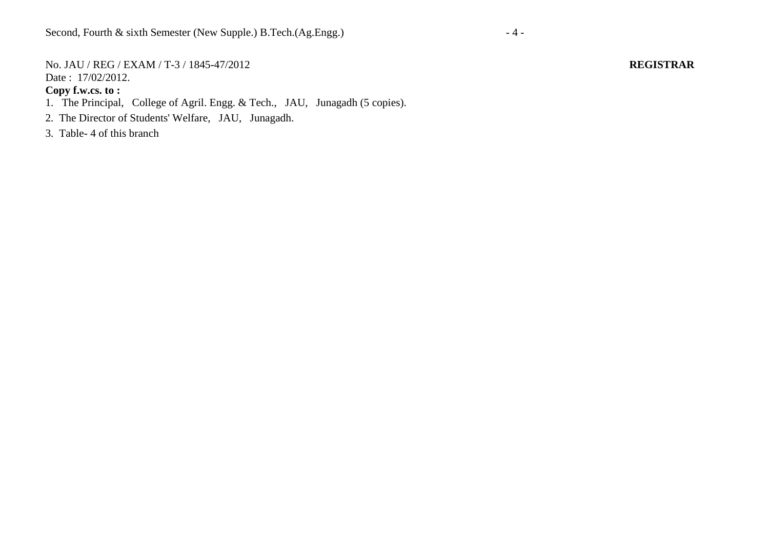No. JAU / REG / EXAM / T-3 / 1845-47/2012 **REGISTRAR** Date: 17/02/2012.

- 1. The Principal, College of Agril. Engg. & Tech., JAU, Junagadh (5 copies).
- 2. The Director of Students' Welfare, JAU, Junagadh.
- 3. Table- 4 of this branch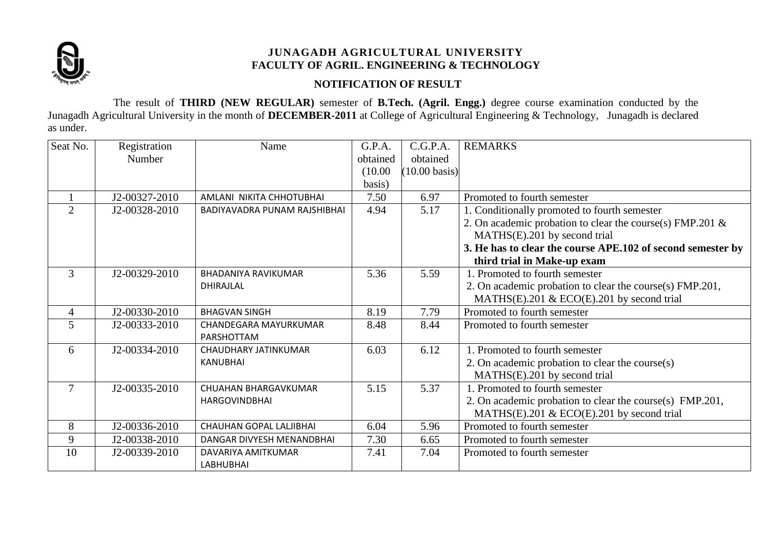

## **NOTIFICATION OF RESULT**

The result of **THIRD (NEW REGULAR)** semester of **B.Tech. (Agril. Engg.)** degree course examination conducted by the Junagadh Agricultural University in the month of **DECEMBER-2011** at College of Agricultural Engineering & Technology, Junagadh is declared as under.

| Seat No.       | Registration  | Name                           | G.P.A.   | C.G.P.A.                | <b>REMARKS</b>                                               |
|----------------|---------------|--------------------------------|----------|-------------------------|--------------------------------------------------------------|
|                | Number        |                                | obtained | obtained                |                                                              |
|                |               |                                | (10.00)  | $(10.00 \text{ basis})$ |                                                              |
|                |               |                                | basis)   |                         |                                                              |
|                | J2-00327-2010 | AMLANI NIKITA CHHOTUBHAI       | 7.50     | 6.97                    | Promoted to fourth semester                                  |
| $\overline{2}$ | J2-00328-2010 | BADIYAVADRA PUNAM RAJSHIBHAI   | 4.94     | 5.17                    | 1. Conditionally promoted to fourth semester                 |
|                |               |                                |          |                         | 2. On academic probation to clear the course(s) FMP.201 $\&$ |
|                |               |                                |          |                         | MATHS(E).201 by second trial                                 |
|                |               |                                |          |                         | 3. He has to clear the course APE.102 of second semester by  |
|                |               |                                |          |                         | third trial in Make-up exam                                  |
| 3              | J2-00329-2010 | <b>BHADANIYA RAVIKUMAR</b>     | 5.36     | 5.59                    | 1. Promoted to fourth semester                               |
|                |               | DHIRAJLAL                      |          |                         | 2. On academic probation to clear the course(s) FMP.201,     |
|                |               |                                |          |                         | MATHS(E).201 & ECO(E).201 by second trial                    |
| $\overline{4}$ | J2-00330-2010 | <b>BHAGVAN SINGH</b>           | 8.19     | 7.79                    | Promoted to fourth semester                                  |
| 5              | J2-00333-2010 | CHANDEGARA MAYURKUMAR          | 8.48     | 8.44                    | Promoted to fourth semester                                  |
|                |               | PARSHOTTAM                     |          |                         |                                                              |
| 6              | J2-00334-2010 | CHAUDHARY JATINKUMAR           | 6.03     | 6.12                    | 1. Promoted to fourth semester                               |
|                |               | <b>KANUBHAI</b>                |          |                         | 2. On academic probation to clear the course(s)              |
|                |               |                                |          |                         | MATHS(E).201 by second trial                                 |
| $\overline{7}$ | J2-00335-2010 | <b>CHUAHAN BHARGAVKUMAR</b>    | 5.15     | 5.37                    | 1. Promoted to fourth semester                               |
|                |               | <b>HARGOVINDBHAI</b>           |          |                         | 2. On academic probation to clear the course(s) FMP.201,     |
|                |               |                                |          |                         | MATHS(E).201 & ECO(E).201 by second trial                    |
| 8              | J2-00336-2010 | <b>CHAUHAN GOPAL LALJIBHAI</b> | 6.04     | 5.96                    | Promoted to fourth semester                                  |
| 9              | J2-00338-2010 | DANGAR DIVYESH MENANDBHAI      | 7.30     | 6.65                    | Promoted to fourth semester                                  |
| 10             | J2-00339-2010 | DAVARIYA AMITKUMAR             | 7.41     | 7.04                    | Promoted to fourth semester                                  |
|                |               | <b>LABHUBHAI</b>               |          |                         |                                                              |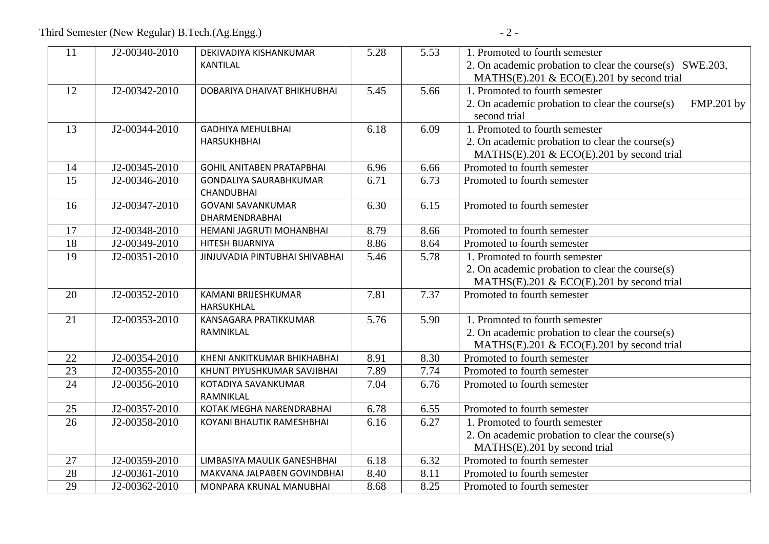| 11              | J2-00340-2010 | DEKIVADIYA KISHANKUMAR           | 5.28 | 5.53 | 1. Promoted to fourth semester                                |  |
|-----------------|---------------|----------------------------------|------|------|---------------------------------------------------------------|--|
|                 |               | <b>KANTILAL</b>                  |      |      | 2. On academic probation to clear the course(s) SWE.203,      |  |
|                 |               |                                  |      |      | MATHS(E).201 & ECO(E).201 by second trial                     |  |
| 12              | J2-00342-2010 | DOBARIYA DHAIVAT BHIKHUBHAI      | 5.45 | 5.66 | 1. Promoted to fourth semester                                |  |
|                 |               |                                  |      |      | 2. On academic probation to clear the course(s)<br>FMP.201 by |  |
|                 |               |                                  |      |      | second trial                                                  |  |
| 13              | J2-00344-2010 | <b>GADHIYA MEHULBHAI</b>         | 6.18 | 6.09 | 1. Promoted to fourth semester                                |  |
|                 |               | <b>HARSUKHBHAI</b>               |      |      | 2. On academic probation to clear the course(s)               |  |
|                 |               |                                  |      |      | MATHS(E).201 & ECO(E).201 by second trial                     |  |
| 14              | J2-00345-2010 | <b>GOHIL ANITABEN PRATAPBHAI</b> | 6.96 | 6.66 | Promoted to fourth semester                                   |  |
| 15              | J2-00346-2010 | <b>GONDALIYA SAURABHKUMAR</b>    | 6.71 | 6.73 | Promoted to fourth semester                                   |  |
|                 |               | <b>CHANDUBHAI</b>                |      |      |                                                               |  |
| 16              | J2-00347-2010 | <b>GOVANI SAVANKUMAR</b>         | 6.30 | 6.15 | Promoted to fourth semester                                   |  |
|                 |               | DHARMENDRABHAI                   |      |      |                                                               |  |
| 17              | J2-00348-2010 | HEMANI JAGRUTI MOHANBHAI         | 8.79 | 8.66 | Promoted to fourth semester                                   |  |
| $\overline{18}$ | J2-00349-2010 | HITESH BIJARNIYA                 | 8.86 | 8.64 | Promoted to fourth semester                                   |  |
| 19              | J2-00351-2010 | JINJUVADIA PINTUBHAI SHIVABHAI   | 5.46 | 5.78 | 1. Promoted to fourth semester                                |  |
|                 |               |                                  |      |      | 2. On academic probation to clear the course(s)               |  |
|                 |               |                                  |      |      | MATHS(E).201 & ECO(E).201 by second trial                     |  |
| 20              | J2-00352-2010 | KAMANI BRIJESHKUMAR              | 7.81 | 7.37 | Promoted to fourth semester                                   |  |
|                 |               | HARSUKHLAL                       |      |      |                                                               |  |
| 21              | J2-00353-2010 | KANSAGARA PRATIKKUMAR            | 5.76 | 5.90 | 1. Promoted to fourth semester                                |  |
|                 |               | RAMNIKLAL                        |      |      | 2. On academic probation to clear the course(s)               |  |
|                 |               |                                  |      |      | MATHS(E).201 & ECO(E).201 by second trial                     |  |
| 22              | J2-00354-2010 | KHENI ANKITKUMAR BHIKHABHAI      | 8.91 | 8.30 | Promoted to fourth semester                                   |  |
| 23              | J2-00355-2010 | KHUNT PIYUSHKUMAR SAVJIBHAI      | 7.89 | 7.74 | Promoted to fourth semester                                   |  |
| 24              | J2-00356-2010 | KOTADIYA SAVANKUMAR              | 7.04 | 6.76 | Promoted to fourth semester                                   |  |
|                 |               | RAMNIKLAL                        |      |      |                                                               |  |
| 25              | J2-00357-2010 | KOTAK MEGHA NARENDRABHAI         | 6.78 | 6.55 | Promoted to fourth semester                                   |  |
| 26              | J2-00358-2010 | KOYANI BHAUTIK RAMESHBHAI        | 6.16 | 6.27 | 1. Promoted to fourth semester                                |  |
|                 |               |                                  |      |      | 2. On academic probation to clear the course(s)               |  |
|                 |               |                                  |      |      | MATHS(E).201 by second trial                                  |  |
| 27              | J2-00359-2010 | LIMBASIYA MAULIK GANESHBHAI      | 6.18 | 6.32 | Promoted to fourth semester                                   |  |
| 28              | J2-00361-2010 | MAKVANA JALPABEN GOVINDBHAI      | 8.40 | 8.11 | Promoted to fourth semester                                   |  |
| 29              | J2-00362-2010 | MONPARA KRUNAL MANUBHAI          | 8.68 | 8.25 | Promoted to fourth semester                                   |  |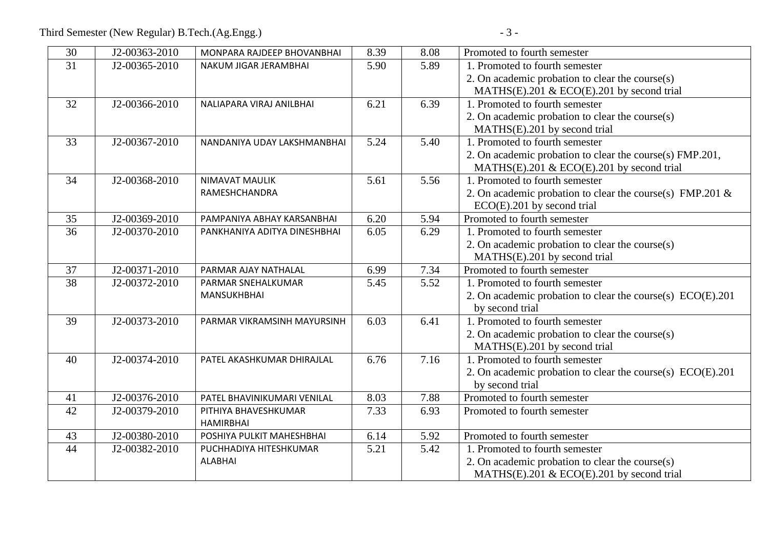| 30 | J2-00363-2010 | MONPARA RAJDEEP BHOVANBHAI   | 8.39 | 8.08 | Promoted to fourth semester                                   |
|----|---------------|------------------------------|------|------|---------------------------------------------------------------|
| 31 | J2-00365-2010 | NAKUM JIGAR JERAMBHAI        | 5.90 | 5.89 | 1. Promoted to fourth semester                                |
|    |               |                              |      |      | 2. On academic probation to clear the course(s)               |
|    |               |                              |      |      | MATHS(E).201 & ECO(E).201 by second trial                     |
| 32 | J2-00366-2010 | NALIAPARA VIRAJ ANILBHAI     | 6.21 | 6.39 | 1. Promoted to fourth semester                                |
|    |               |                              |      |      | 2. On academic probation to clear the course(s)               |
|    |               |                              |      |      | MATHS(E).201 by second trial                                  |
| 33 | J2-00367-2010 | NANDANIYA UDAY LAKSHMANBHAI  | 5.24 | 5.40 | 1. Promoted to fourth semester                                |
|    |               |                              |      |      | 2. On academic probation to clear the course(s) FMP.201,      |
|    |               |                              |      |      | MATHS(E).201 & ECO(E).201 by second trial                     |
| 34 | J2-00368-2010 | <b>NIMAVAT MAULIK</b>        | 5.61 | 5.56 | 1. Promoted to fourth semester                                |
|    |               | RAMESHCHANDRA                |      |      | 2. On academic probation to clear the course(s) FMP.201 &     |
|    |               |                              |      |      | $ECO(E)$ .201 by second trial                                 |
| 35 | J2-00369-2010 | PAMPANIYA ABHAY KARSANBHAI   | 6.20 | 5.94 | Promoted to fourth semester                                   |
| 36 | J2-00370-2010 | PANKHANIYA ADITYA DINESHBHAI | 6.05 | 6.29 | 1. Promoted to fourth semester                                |
|    |               |                              |      |      | 2. On academic probation to clear the course(s)               |
|    |               |                              |      |      | MATHS(E).201 by second trial                                  |
| 37 | J2-00371-2010 | PARMAR AJAY NATHALAL         | 6.99 | 7.34 | Promoted to fourth semester                                   |
| 38 | J2-00372-2010 | PARMAR SNEHALKUMAR           | 5.45 | 5.52 | 1. Promoted to fourth semester                                |
|    |               | MANSUKHBHAI                  |      |      | 2. On academic probation to clear the course(s) $ECO(E)$ .201 |
|    |               |                              |      |      | by second trial                                               |
| 39 | J2-00373-2010 | PARMAR VIKRAMSINH MAYURSINH  | 6.03 | 6.41 | 1. Promoted to fourth semester                                |
|    |               |                              |      |      | 2. On academic probation to clear the course(s)               |
|    |               |                              |      |      | MATHS(E).201 by second trial                                  |
| 40 | J2-00374-2010 | PATEL AKASHKUMAR DHIRAJLAL   | 6.76 | 7.16 | 1. Promoted to fourth semester                                |
|    |               |                              |      |      | 2. On academic probation to clear the course(s) ECO(E).201    |
|    |               |                              |      |      | by second trial                                               |
| 41 | J2-00376-2010 | PATEL BHAVINIKUMARI VENILAL  | 8.03 | 7.88 | Promoted to fourth semester                                   |
| 42 | J2-00379-2010 | PITHIYA BHAVESHKUMAR         | 7.33 | 6.93 | Promoted to fourth semester                                   |
|    |               | <b>HAMIRBHAI</b>             |      |      |                                                               |
| 43 | J2-00380-2010 | POSHIYA PULKIT MAHESHBHAI    | 6.14 | 5.92 | Promoted to fourth semester                                   |
| 44 | J2-00382-2010 | PUCHHADIYA HITESHKUMAR       | 5.21 | 5.42 | 1. Promoted to fourth semester                                |
|    |               | <b>ALABHAI</b>               |      |      | 2. On academic probation to clear the course(s)               |
|    |               |                              |      |      | MATHS(E).201 & ECO(E).201 by second trial                     |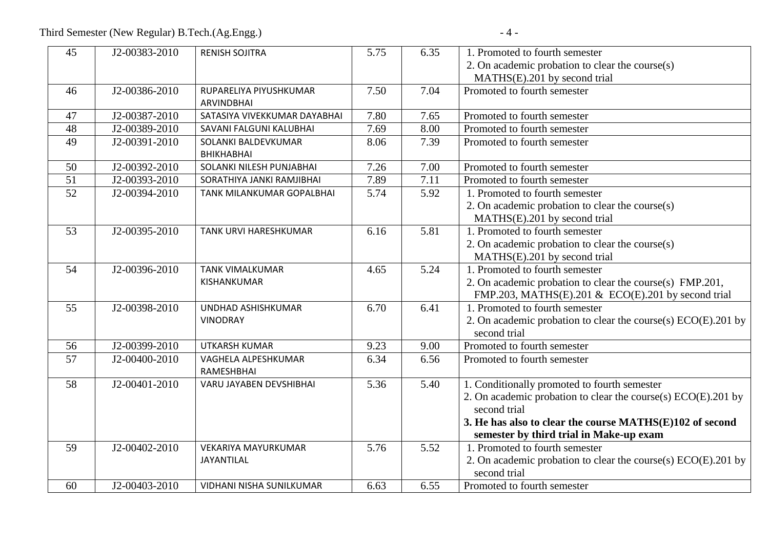| 45 | J2-00383-2010 | <b>RENISH SOJITRA</b>                    | 5.75 | 6.35 | 1. Promoted to fourth semester                                                    |
|----|---------------|------------------------------------------|------|------|-----------------------------------------------------------------------------------|
|    |               |                                          |      |      | 2. On academic probation to clear the course(s)<br>MATHS(E).201 by second trial   |
| 46 | J2-00386-2010 | RUPARELIYA PIYUSHKUMAR                   | 7.50 | 7.04 | Promoted to fourth semester                                                       |
|    |               | <b>ARVINDBHAI</b>                        |      |      |                                                                                   |
| 47 | J2-00387-2010 | SATASIYA VIVEKKUMAR DAYABHAI             | 7.80 | 7.65 | Promoted to fourth semester                                                       |
| 48 | J2-00389-2010 | SAVANI FALGUNI KALUBHAI                  | 7.69 | 8.00 | Promoted to fourth semester                                                       |
| 49 | J2-00391-2010 | SOLANKI BALDEVKUMAR<br><b>BHIKHABHAI</b> | 8.06 | 7.39 | Promoted to fourth semester                                                       |
| 50 | J2-00392-2010 | SOLANKI NILESH PUNJABHAI                 | 7.26 | 7.00 | Promoted to fourth semester                                                       |
| 51 | J2-00393-2010 | SORATHIYA JANKI RAMJIBHAI                | 7.89 | 7.11 | Promoted to fourth semester                                                       |
| 52 | J2-00394-2010 | TANK MILANKUMAR GOPALBHAI                | 5.74 | 5.92 | 1. Promoted to fourth semester                                                    |
|    |               |                                          |      |      | 2. On academic probation to clear the course(s)                                   |
|    |               |                                          |      |      | MATHS(E).201 by second trial                                                      |
| 53 | J2-00395-2010 | TANK URVI HARESHKUMAR                    | 6.16 | 5.81 | 1. Promoted to fourth semester                                                    |
|    |               |                                          |      |      | 2. On academic probation to clear the course(s)                                   |
| 54 | J2-00396-2010 | <b>TANK VIMALKUMAR</b>                   | 4.65 | 5.24 | MATHS(E).201 by second trial<br>1. Promoted to fourth semester                    |
|    |               | KISHANKUMAR                              |      |      | 2. On academic probation to clear the course(s) FMP.201,                          |
|    |               |                                          |      |      | FMP.203, MATHS(E).201 & ECO(E).201 by second trial                                |
| 55 | J2-00398-2010 | UNDHAD ASHISHKUMAR                       | 6.70 | 6.41 | 1. Promoted to fourth semester                                                    |
|    |               | <b>VINODRAY</b>                          |      |      | 2. On academic probation to clear the course(s) $ECO(E)$ . 201 by                 |
|    |               |                                          |      |      | second trial                                                                      |
| 56 | J2-00399-2010 | <b>UTKARSH KUMAR</b>                     | 9.23 | 9.00 | Promoted to fourth semester                                                       |
| 57 | J2-00400-2010 | VAGHELA ALPESHKUMAR<br>RAMESHBHAI        | 6.34 | 6.56 | Promoted to fourth semester                                                       |
| 58 | J2-00401-2010 | VARU JAYABEN DEVSHIBHAI                  | 5.36 | 5.40 | 1. Conditionally promoted to fourth semester                                      |
|    |               |                                          |      |      | 2. On academic probation to clear the course(s) ECO(E).201 by                     |
|    |               |                                          |      |      | second trial                                                                      |
|    |               |                                          |      |      | 3. He has also to clear the course MATHS(E)102 of second                          |
|    |               |                                          |      |      | semester by third trial in Make-up exam                                           |
| 59 | J2-00402-2010 | <b>VEKARIYA MAYURKUMAR</b>               | 5.76 | 5.52 | 1. Promoted to fourth semester                                                    |
|    |               | JAYANTILAL                               |      |      | 2. On academic probation to clear the course(s) $ECO(E)$ . 201 by<br>second trial |
| 60 | J2-00403-2010 | VIDHANI NISHA SUNILKUMAR                 | 6.63 | 6.55 | Promoted to fourth semester                                                       |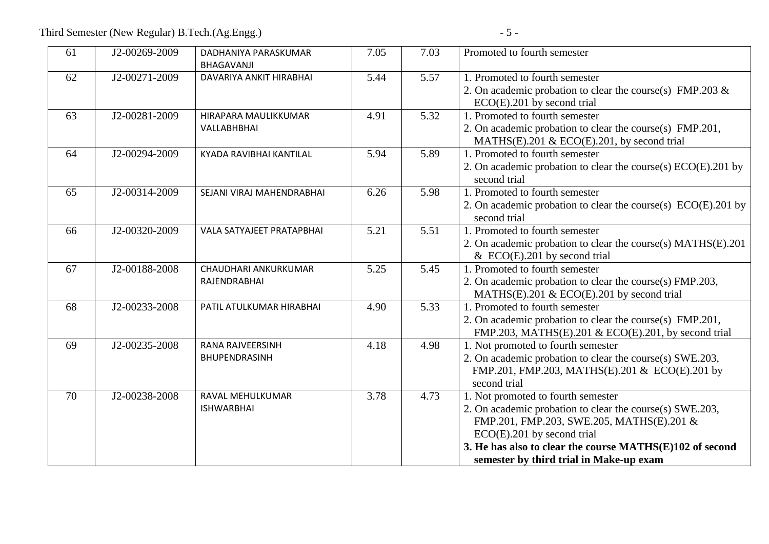| 61 | J2-00269-2009 | DADHANIYA PARASKUMAR<br>BHAGAVANJI       | 7.05 | 7.03 | Promoted to fourth semester                                                                                                                                                                                                                                                         |
|----|---------------|------------------------------------------|------|------|-------------------------------------------------------------------------------------------------------------------------------------------------------------------------------------------------------------------------------------------------------------------------------------|
| 62 | J2-00271-2009 | DAVARIYA ANKIT HIRABHAI                  | 5.44 | 5.57 | 1. Promoted to fourth semester<br>2. On academic probation to clear the course(s) FMP.203 &<br>$ECO(E)$ .201 by second trial                                                                                                                                                        |
| 63 | J2-00281-2009 | HIRAPARA MAULIKKUMAR<br>VALLABHBHAI      | 4.91 | 5.32 | 1. Promoted to fourth semester<br>2. On academic probation to clear the course(s) FMP.201,<br>MATHS(E).201 & ECO(E).201, by second trial                                                                                                                                            |
| 64 | J2-00294-2009 | KYADA RAVIBHAI KANTILAL                  | 5.94 | 5.89 | 1. Promoted to fourth semester<br>2. On academic probation to clear the course(s) ECO(E).201 by<br>second trial                                                                                                                                                                     |
| 65 | J2-00314-2009 | SEJANI VIRAJ MAHENDRABHAI                | 6.26 | 5.98 | 1. Promoted to fourth semester<br>2. On academic probation to clear the course(s) $ECO(E)$ . 201 by<br>second trial                                                                                                                                                                 |
| 66 | J2-00320-2009 | <b>VALA SATYAJEET PRATAPBHAI</b>         | 5.21 | 5.51 | 1. Promoted to fourth semester<br>2. On academic probation to clear the course(s) MATHS(E).201<br>& ECO(E).201 by second trial                                                                                                                                                      |
| 67 | J2-00188-2008 | CHAUDHARI ANKURKUMAR<br>RAJENDRABHAI     | 5.25 | 5.45 | 1. Promoted to fourth semester<br>2. On academic probation to clear the course(s) FMP.203,<br>MATHS(E).201 & ECO(E).201 by second trial                                                                                                                                             |
| 68 | J2-00233-2008 | PATIL ATULKUMAR HIRABHAI                 | 4.90 | 5.33 | 1. Promoted to fourth semester<br>2. On academic probation to clear the course(s) FMP.201,<br>FMP.203, MATHS(E).201 & ECO(E).201, by second trial                                                                                                                                   |
| 69 | J2-00235-2008 | <b>RANA RAJVEERSINH</b><br>BHUPENDRASINH | 4.18 | 4.98 | 1. Not promoted to fourth semester<br>2. On academic probation to clear the course(s) SWE.203,<br>FMP.201, FMP.203, MATHS(E).201 & ECO(E).201 by<br>second trial                                                                                                                    |
| 70 | J2-00238-2008 | RAVAL MEHULKUMAR<br><b>ISHWARBHAI</b>    | 3.78 | 4.73 | 1. Not promoted to fourth semester<br>2. On academic probation to clear the course(s) SWE.203,<br>FMP.201, FMP.203, SWE.205, MATHS(E).201 &<br>$ECO(E)$ .201 by second trial<br>3. He has also to clear the course MATHS(E)102 of second<br>semester by third trial in Make-up exam |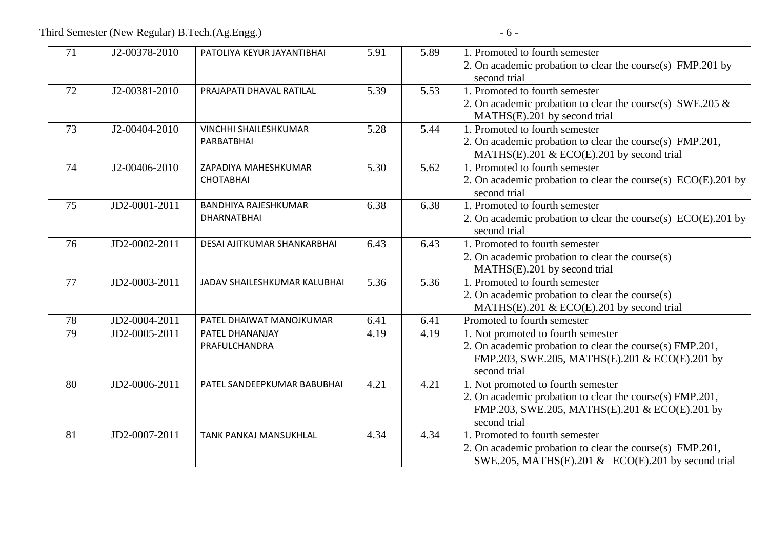| 71 | J2-00378-2010 | PATOLIYA KEYUR JAYANTIBHAI         | 5.91 | 5.89 | 1. Promoted to fourth semester                                             |
|----|---------------|------------------------------------|------|------|----------------------------------------------------------------------------|
|    |               |                                    |      |      | 2. On academic probation to clear the course(s) FMP.201 by<br>second trial |
| 72 | J2-00381-2010 | PRAJAPATI DHAVAL RATILAL           | 5.39 | 5.53 | 1. Promoted to fourth semester                                             |
|    |               |                                    |      |      | 2. On academic probation to clear the course(s) SWE.205 $\&$               |
|    |               |                                    |      |      | MATHS(E).201 by second trial                                               |
| 73 | J2-00404-2010 | <b>VINCHHI SHAILESHKUMAR</b>       | 5.28 | 5.44 | 1. Promoted to fourth semester                                             |
|    |               | PARBATBHAI                         |      |      | 2. On academic probation to clear the course(s) FMP.201,                   |
|    |               |                                    |      |      | MATHS(E).201 & ECO(E).201 by second trial                                  |
| 74 | J2-00406-2010 | ZAPADIYA MAHESHKUMAR               | 5.30 | 5.62 | 1. Promoted to fourth semester                                             |
|    |               | <b>CHOTABHAI</b>                   |      |      | 2. On academic probation to clear the course(s) ECO(E).201 by              |
|    |               |                                    |      |      | second trial                                                               |
| 75 | JD2-0001-2011 | <b>BANDHIYA RAJESHKUMAR</b>        | 6.38 | 6.38 | 1. Promoted to fourth semester                                             |
|    |               | <b>DHARNATBHAI</b>                 |      |      | 2. On academic probation to clear the course(s) ECO(E).201 by              |
|    |               |                                    |      |      | second trial                                                               |
| 76 | JD2-0002-2011 | <b>DESAI AJITKUMAR SHANKARBHAI</b> | 6.43 | 6.43 | 1. Promoted to fourth semester                                             |
|    |               |                                    |      |      | 2. On academic probation to clear the course(s)                            |
|    |               |                                    |      |      | MATHS(E).201 by second trial                                               |
| 77 | JD2-0003-2011 | JADAV SHAILESHKUMAR KALUBHAI       | 5.36 | 5.36 | 1. Promoted to fourth semester                                             |
|    |               |                                    |      |      | 2. On academic probation to clear the course(s)                            |
|    |               |                                    |      |      | MATHS(E).201 & ECO(E).201 by second trial                                  |
| 78 | JD2-0004-2011 | PATEL DHAIWAT MANOJKUMAR           | 6.41 | 6.41 | Promoted to fourth semester                                                |
| 79 | JD2-0005-2011 | PATEL DHANANJAY                    | 4.19 | 4.19 | 1. Not promoted to fourth semester                                         |
|    |               | PRAFULCHANDRA                      |      |      | 2. On academic probation to clear the course(s) FMP.201,                   |
|    |               |                                    |      |      | FMP.203, SWE.205, MATHS(E).201 & ECO(E).201 by                             |
|    |               |                                    |      |      | second trial                                                               |
| 80 | JD2-0006-2011 | PATEL SANDEEPKUMAR BABUBHAI        | 4.21 | 4.21 | 1. Not promoted to fourth semester                                         |
|    |               |                                    |      |      | 2. On academic probation to clear the course(s) FMP.201,                   |
|    |               |                                    |      |      | FMP.203, SWE.205, MATHS(E).201 & ECO(E).201 by                             |
|    |               |                                    |      |      | second trial                                                               |
| 81 | JD2-0007-2011 | TANK PANKAJ MANSUKHLAL             | 4.34 | 4.34 | 1. Promoted to fourth semester                                             |
|    |               |                                    |      |      | 2. On academic probation to clear the course(s) FMP.201,                   |
|    |               |                                    |      |      | SWE.205, MATHS(E).201 & ECO(E).201 by second trial                         |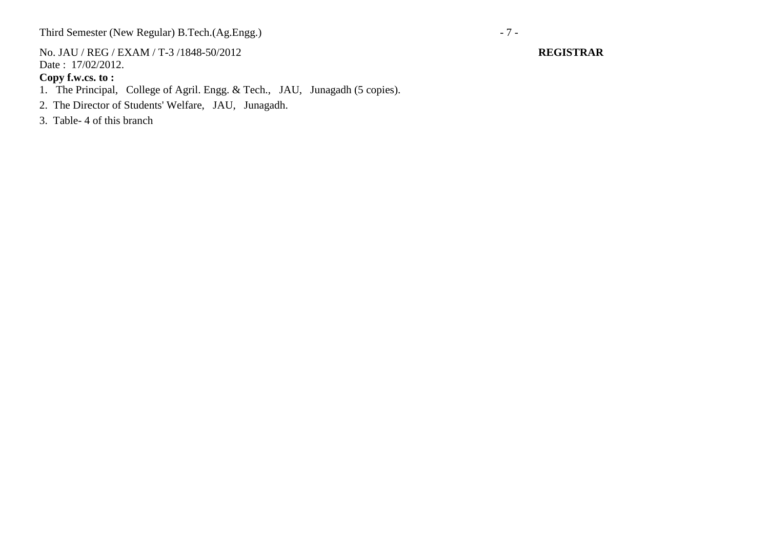Third Semester (New Regular) B.Tech.(Ag.Engg.) - 7 -

No. JAU / REG / EXAM / T-3 /1848-50/2012 **REGISTRAR** Date : 17/02/2012.

**Copy f.w.cs. to :**

1. The Principal, College of Agril. Engg. & Tech., JAU, Junagadh (5 copies).

2. The Director of Students' Welfare, JAU, Junagadh.

3. Table- 4 of this branch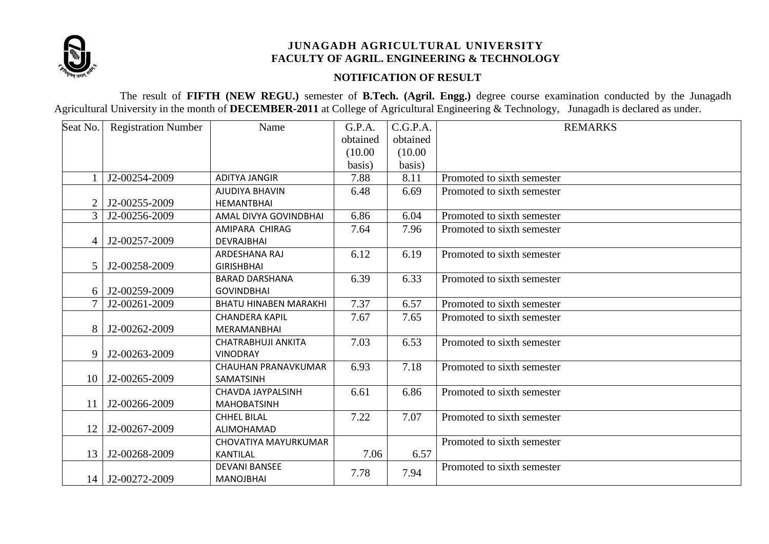

## **NOTIFICATION OF RESULT**

The result of **FIFTH (NEW REGU.)** semester of **B.Tech. (Agril. Engg.)** degree course examination conducted by the Junagadh Agricultural University in the month of **DECEMBER-2011** at College of Agricultural Engineering & Technology, Junagadh is declared as under.

| Seat No.       | <b>Registration Number</b> | Name                         | G.P.A.   | C.G.P.A. | <b>REMARKS</b>             |
|----------------|----------------------------|------------------------------|----------|----------|----------------------------|
|                |                            |                              | obtained | obtained |                            |
|                |                            |                              | (10.00)  | (10.00)  |                            |
|                |                            |                              | basis)   | basis)   |                            |
|                | J2-00254-2009              | <b>ADITYA JANGIR</b>         | 7.88     | 8.11     | Promoted to sixth semester |
|                |                            | AJUDIYA BHAVIN               | 6.48     | 6.69     | Promoted to sixth semester |
|                | J2-00255-2009              | <b>HEMANTBHAI</b>            |          |          |                            |
| 3              | J2-00256-2009              | AMAL DIVYA GOVINDBHAI        | 6.86     | 6.04     | Promoted to sixth semester |
|                |                            | AMIPARA CHIRAG               | 7.64     | 7.96     | Promoted to sixth semester |
| $\overline{A}$ | J2-00257-2009              | <b>DEVRAJBHAI</b>            |          |          |                            |
|                |                            | ARDESHANA RAJ                | 6.12     | 6.19     | Promoted to sixth semester |
|                | J2-00258-2009              | <b>GIRISHBHAI</b>            |          |          |                            |
|                |                            | <b>BARAD DARSHANA</b>        | 6.39     | 6.33     | Promoted to sixth semester |
|                | J2-00259-2009              | <b>GOVINDBHAI</b>            |          |          |                            |
|                | J2-00261-2009              | <b>BHATU HINABEN MARAKHI</b> | 7.37     | 6.57     | Promoted to sixth semester |
|                |                            | <b>CHANDERA KAPIL</b>        | 7.67     | 7.65     | Promoted to sixth semester |
| 8              | J2-00262-2009              | MERAMANBHAI                  |          |          |                            |
|                |                            | CHATRABHUJI ANKITA           | 7.03     | 6.53     | Promoted to sixth semester |
| 9              | J2-00263-2009              | <b>VINODRAY</b>              |          |          |                            |
|                |                            | <b>CHAUHAN PRANAVKUMAR</b>   | 6.93     | 7.18     | Promoted to sixth semester |
| 10             | J2-00265-2009              | <b>SAMATSINH</b>             |          |          |                            |
|                |                            | CHAVDA JAYPALSINH            | 6.61     | 6.86     | Promoted to sixth semester |
| 11             | J2-00266-2009              | <b>MAHOBATSINH</b>           |          |          |                            |
|                |                            | <b>CHHEL BILAL</b>           | 7.22     | 7.07     | Promoted to sixth semester |
| 12             | J2-00267-2009              | <b>ALIMOHAMAD</b>            |          |          |                            |
|                |                            | CHOVATIYA MAYURKUMAR         |          |          | Promoted to sixth semester |
| 13             | J2-00268-2009              | <b>KANTILAL</b>              | 7.06     | 6.57     |                            |
|                |                            | <b>DEVANI BANSEE</b>         | 7.78     | 7.94     | Promoted to sixth semester |
| 14             | J2-00272-2009              | <b>MANOJBHAI</b>             |          |          |                            |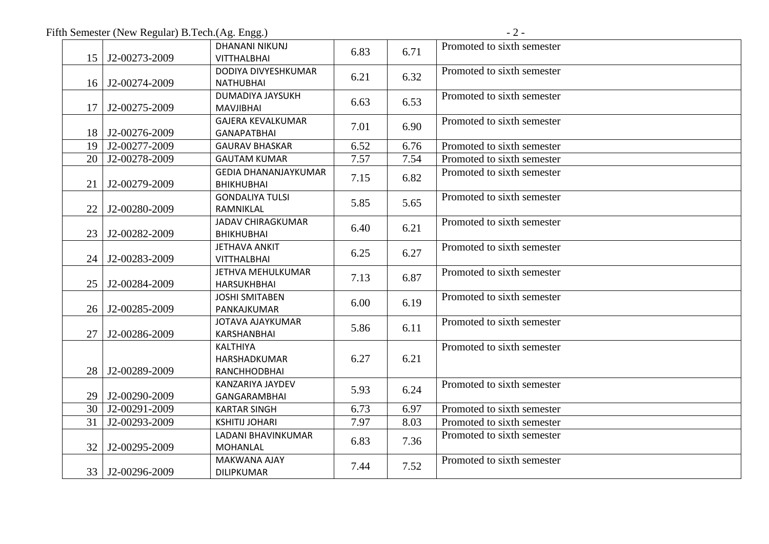Fifth Semester (New Regular) B.Tech.(Ag. Engg.) - 2 -

|                 |                         | <b>DHANANI NIKUNJ</b>       | 6.83 | 6.71 | Promoted to sixth semester |
|-----------------|-------------------------|-----------------------------|------|------|----------------------------|
|                 | 15   J2-00273-2009      | <b>VITTHALBHAI</b>          |      |      |                            |
|                 |                         | DODIYA DIVYESHKUMAR         | 6.21 | 6.32 | Promoted to sixth semester |
|                 | 16   J2-00274-2009      | <b>NATHUBHAI</b>            |      |      |                            |
|                 |                         | DUMADIYA JAYSUKH            | 6.63 | 6.53 | Promoted to sixth semester |
|                 | 17 J2-00275-2009        | <b>MAVJIBHAI</b>            |      |      |                            |
|                 |                         | <b>GAJERA KEVALKUMAR</b>    | 7.01 | 6.90 | Promoted to sixth semester |
|                 | 18 J2-00276-2009        | <b>GANAPATBHAI</b>          |      |      |                            |
|                 | 19 J2-00277-2009        | <b>GAURAV BHASKAR</b>       | 6.52 | 6.76 | Promoted to sixth semester |
|                 | 20   J2-00278-2009      | <b>GAUTAM KUMAR</b>         | 7.57 | 7.54 | Promoted to sixth semester |
|                 |                         | <b>GEDIA DHANANJAYKUMAR</b> | 7.15 | 6.82 | Promoted to sixth semester |
|                 | 21   J2-00279-2009      | <b>BHIKHUBHAI</b>           |      |      |                            |
|                 |                         | <b>GONDALIYA TULSI</b>      | 5.85 | 5.65 | Promoted to sixth semester |
|                 | 22 J2-00280-2009        | RAMNIKLAL                   |      |      |                            |
|                 |                         | <b>JADAV CHIRAGKUMAR</b>    | 6.40 | 6.21 | Promoted to sixth semester |
|                 | 23 J2-00282-2009        | <b>BHIKHUBHAI</b>           |      |      |                            |
|                 |                         | <b>JETHAVA ANKIT</b>        | 6.25 | 6.27 | Promoted to sixth semester |
|                 | 24 J2-00283-2009        | <b>VITTHALBHAI</b>          |      |      |                            |
|                 |                         | JETHVA MEHULKUMAR           | 7.13 | 6.87 | Promoted to sixth semester |
|                 | 25   J2-00284-2009      | <b>HARSUKHBHAI</b>          |      |      |                            |
|                 |                         | <b>JOSHI SMITABEN</b>       |      | 6.19 | Promoted to sixth semester |
|                 | 26 J2-00285-2009        | PANKAJKUMAR                 | 6.00 |      |                            |
|                 |                         | <b>JOTAVA AJAYKUMAR</b>     |      |      | Promoted to sixth semester |
|                 | 27 J2-00286-2009        | KARSHANBHAI                 | 5.86 | 6.11 |                            |
|                 |                         | <b>KALTHIYA</b>             |      |      | Promoted to sixth semester |
|                 |                         | HARSHADKUMAR                | 6.27 | 6.21 |                            |
|                 | 28 J2-00289-2009        | RANCHHODBHAI                |      |      |                            |
|                 |                         | KANZARIYA JAYDEV            |      |      | Promoted to sixth semester |
|                 | 29 J2-00290-2009        | <b>GANGARAMBHAI</b>         | 5.93 | 6.24 |                            |
|                 | $30 \mid$ J2-00291-2009 | <b>KARTAR SINGH</b>         | 6.73 | 6.97 | Promoted to sixth semester |
| 31              | J2-00293-2009           | <b>KSHITIJ JOHARI</b>       | 7.97 | 8.03 | Promoted to sixth semester |
|                 |                         | LADANI BHAVINKUMAR          |      |      | Promoted to sixth semester |
| 32 <sub>1</sub> | J2-00295-2009           | <b>MOHANLAL</b>             | 6.83 | 7.36 |                            |
|                 |                         | <b>MAKWANA AJAY</b>         |      |      | Promoted to sixth semester |
|                 | 33 J2-00296-2009        | <b>DILIPKUMAR</b>           | 7.44 | 7.52 |                            |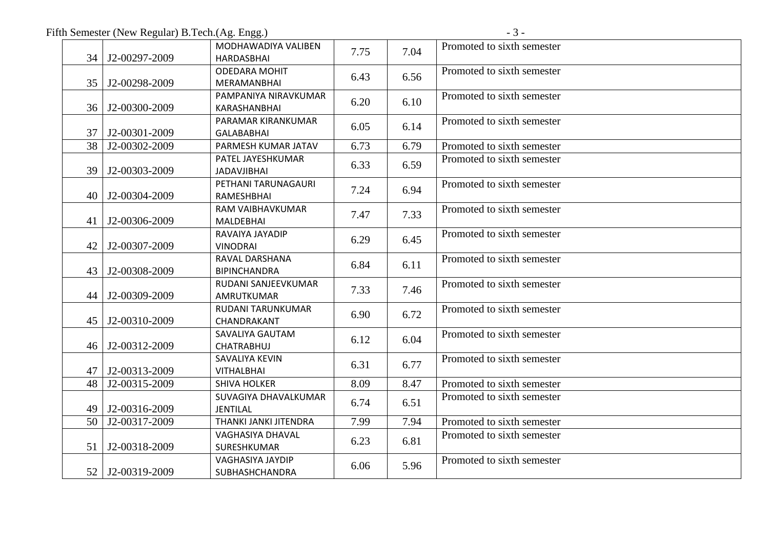Fifth Semester (New Regular) B.Tech.(Ag. Engg.) - 3 -

|                 | 34   J2-00297-2009 | MODHAWADIYA VALIBEN<br><b>HARDASBHAI</b> | 7.75 | 7.04 | Promoted to sixth semester |
|-----------------|--------------------|------------------------------------------|------|------|----------------------------|
|                 |                    | <b>ODEDARA MOHIT</b>                     |      |      | Promoted to sixth semester |
|                 | 35   J2-00298-2009 | MERAMANBHAI                              | 6.43 | 6.56 |                            |
|                 |                    | PAMPANIYA NIRAVKUMAR                     |      |      | Promoted to sixth semester |
|                 | 36 J2-00300-2009   | KARASHANBHAI                             | 6.20 | 6.10 |                            |
|                 |                    | PARAMAR KIRANKUMAR                       |      |      | Promoted to sixth semester |
|                 | 37   J2-00301-2009 | <b>GALABABHAI</b>                        | 6.05 | 6.14 |                            |
| 38              | J2-00302-2009      | PARMESH KUMAR JATAV                      | 6.73 | 6.79 | Promoted to sixth semester |
|                 |                    | PATEL JAYESHKUMAR                        |      |      | Promoted to sixth semester |
|                 | 39 J2-00303-2009   | <b>JADAVJIBHAI</b>                       | 6.33 | 6.59 |                            |
|                 |                    | PETHANI TARUNAGAURI                      | 7.24 | 6.94 | Promoted to sixth semester |
|                 | 40   J2-00304-2009 | RAMESHBHAI                               |      |      |                            |
|                 |                    | RAM VAIBHAVKUMAR                         | 7.47 | 7.33 | Promoted to sixth semester |
|                 | 41   J2-00306-2009 | <b>MALDEBHAI</b>                         |      |      |                            |
|                 |                    | RAVAIYA JAYADIP                          | 6.29 | 6.45 | Promoted to sixth semester |
|                 | 42   J2-00307-2009 | <b>VINODRAI</b>                          |      |      |                            |
|                 |                    | RAVAL DARSHANA                           | 6.84 | 6.11 | Promoted to sixth semester |
|                 | 43   J2-00308-2009 | <b>BIPINCHANDRA</b>                      |      |      |                            |
|                 |                    | RUDANI SANJEEVKUMAR                      | 7.33 | 7.46 | Promoted to sixth semester |
|                 | 44   J2-00309-2009 | AMRUTKUMAR                               |      |      |                            |
|                 |                    | RUDANI TARUNKUMAR                        | 6.90 | 6.72 | Promoted to sixth semester |
|                 | 45   J2-00310-2009 | CHANDRAKANT                              |      |      |                            |
|                 | 46   J2-00312-2009 | SAVALIYA GAUTAM                          | 6.12 | 6.04 | Promoted to sixth semester |
|                 |                    | <b>CHATRABHUJ</b><br>SAVALIYA KEVIN      |      |      | Promoted to sixth semester |
|                 | 47   J2-00313-2009 | <b>VITHALBHAI</b>                        | 6.31 | 6.77 |                            |
| 48              | J2-00315-2009      | <b>SHIVA HOLKER</b>                      | 8.09 | 8.47 | Promoted to sixth semester |
|                 |                    | SUVAGIYA DHAVALKUMAR                     |      |      | Promoted to sixth semester |
|                 | 49   J2-00316-2009 | <b>JENTILAL</b>                          | 6.74 | 6.51 |                            |
|                 | 50 J2-00317-2009   | THANKI JANKI JITENDRA                    | 7.99 | 7.94 | Promoted to sixth semester |
|                 |                    | VAGHASIYA DHAVAL                         |      |      | Promoted to sixth semester |
| 51 <sup>1</sup> | J2-00318-2009      | SURESHKUMAR                              | 6.23 | 6.81 |                            |
|                 |                    | VAGHASIYA JAYDIP                         |      | 5.96 | Promoted to sixth semester |
|                 | 52 J2-00319-2009   | SUBHASHCHANDRA                           | 6.06 |      |                            |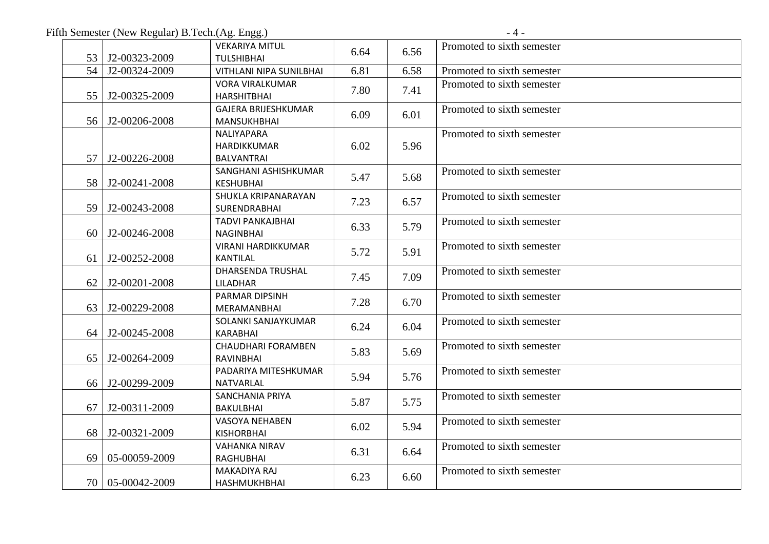Fifth Semester (New Regular) B.Tech.(Ag. Engg.) - 4 -

|    | 53 J2-00323-2009      | <b>VEKARIYA MITUL</b><br><b>TULSHIBHAI</b>       | 6.64 | 6.56 | Promoted to sixth semester |
|----|-----------------------|--------------------------------------------------|------|------|----------------------------|
| 54 | J2-00324-2009         | <b>VITHLANI NIPA SUNILBHAI</b>                   | 6.81 | 6.58 | Promoted to sixth semester |
| 55 | J2-00325-2009         | <b>VORA VIRALKUMAR</b><br><b>HARSHITBHAI</b>     | 7.80 | 7.41 | Promoted to sixth semester |
|    | 56 J2-00206-2008      | <b>GAJERA BRIJESHKUMAR</b><br><b>MANSUKHBHAI</b> | 6.09 | 6.01 | Promoted to sixth semester |
| 57 | $\vert$ J2-00226-2008 | NALIYAPARA<br>HARDIKKUMAR<br><b>BALVANTRAI</b>   | 6.02 | 5.96 | Promoted to sixth semester |
|    | 58 J2-00241-2008      | SANGHANI ASHISHKUMAR<br><b>KESHUBHAI</b>         | 5.47 | 5.68 | Promoted to sixth semester |
| 59 | $J2-00243-2008$       | SHUKLA KRIPANARAYAN<br>SURENDRABHAI              | 7.23 | 6.57 | Promoted to sixth semester |
| 60 | $J2-00246-2008$       | <b>TADVI PANKAJBHAI</b><br><b>NAGINBHAI</b>      | 6.33 | 5.79 | Promoted to sixth semester |
|    | 61 J2-00252-2008      | <b>VIRANI HARDIKKUMAR</b><br><b>KANTILAL</b>     | 5.72 | 5.91 | Promoted to sixth semester |
| 62 | J2-00201-2008         | DHARSENDA TRUSHAL<br>LILADHAR                    | 7.45 | 7.09 | Promoted to sixth semester |
| 63 | J2-00229-2008         | PARMAR DIPSINH<br>MERAMANBHAI                    | 7.28 | 6.70 | Promoted to sixth semester |
| 64 | $J2-00245-2008$       | SOLANKI SANJAYKUMAR<br><b>KARABHAI</b>           | 6.24 | 6.04 | Promoted to sixth semester |
| 65 | J2-00264-2009         | <b>CHAUDHARI FORAMBEN</b><br>RAVINBHAI           | 5.83 | 5.69 | Promoted to sixth semester |
|    | 66   J2-00299-2009    | PADARIYA MITESHKUMAR<br>NATVARLAL                | 5.94 | 5.76 | Promoted to sixth semester |
| 67 | J2-00311-2009         | <b>SANCHANIA PRIYA</b><br>BAKULBHAI              | 5.87 | 5.75 | Promoted to sixth semester |
|    | 68 J2-00321-2009      | <b>VASOYA NEHABEN</b><br><b>KISHORBHAI</b>       | 6.02 | 5.94 | Promoted to sixth semester |
| 69 | 05-00059-2009         | <b>VAHANKA NIRAV</b><br><b>RAGHUBHAI</b>         | 6.31 | 6.64 | Promoted to sixth semester |
|    | 70   05-00042-2009    | MAKADIYA RAJ<br>HASHMUKHBHAI                     | 6.23 | 6.60 | Promoted to sixth semester |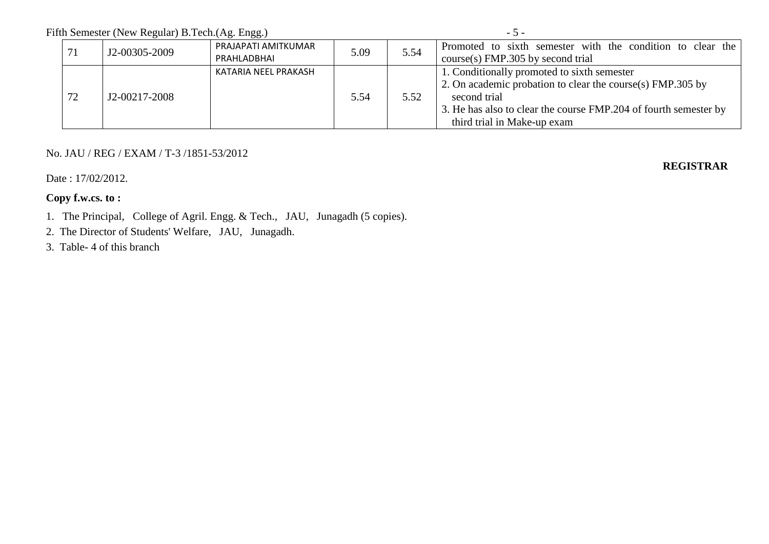Fifth Semester (New Regular) B.Tech.(Ag. Engg.) - 5 -

| ٥ |  |
|---|--|
|   |  |

|    | J2-00305-2009 | PRAJAPATI AMITKUMAR<br>PRAHLADBHAI | 5.09 | 5.54 | Promoted to sixth semester with the condition to clear the<br>course(s) FMP.305 by second trial                                                                                                                              |
|----|---------------|------------------------------------|------|------|------------------------------------------------------------------------------------------------------------------------------------------------------------------------------------------------------------------------------|
| 72 | J2-00217-2008 | KATARIA NEEL PRAKASH               | 5.54 | 5.52 | 1. Conditionally promoted to sixth semester<br>2. On academic probation to clear the course(s) FMP.305 by<br>second trial<br>3. He has also to clear the course FMP.204 of fourth semester by<br>third trial in Make-up exam |

## No. JAU / REG / EXAM / T-3 /1851-53/2012

Date: 17/02/2012.

**REGISTRAR**

## **Copy f.w.cs. to :**

1. The Principal, College of Agril. Engg. & Tech., JAU, Junagadh (5 copies).

2. The Director of Students' Welfare, JAU, Junagadh.

3. Table- 4 of this branch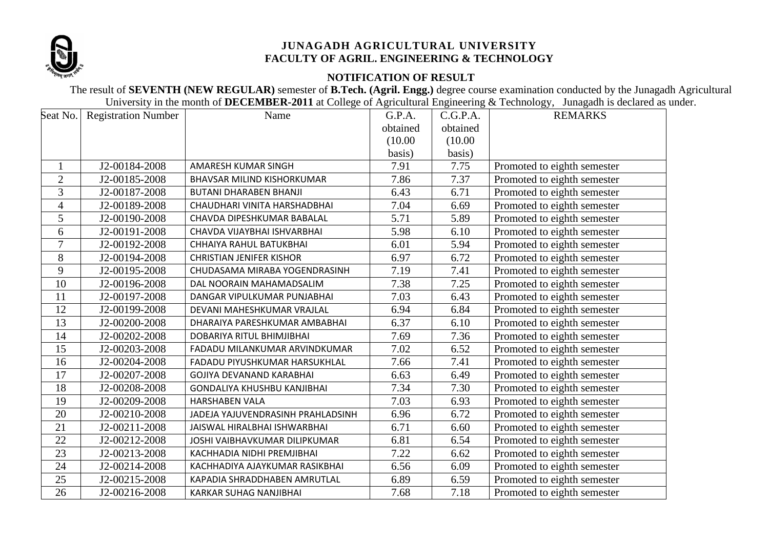

## **NOTIFICATION OF RESULT**

The result of **SEVENTH (NEW REGULAR)** semester of **B.Tech. (Agril. Engg.)** degree course examination conducted by the Junagadh Agricultural University in the month of **DECEMBER-2011** at College of Agricultural Engineering & Technology, Junagadh is declared as under.

|                | Seat No.   Registration Number | Name                              | G.P.A.   | C.G.P.A. | <b>REMARKS</b>              |
|----------------|--------------------------------|-----------------------------------|----------|----------|-----------------------------|
|                |                                |                                   | obtained | obtained |                             |
|                |                                |                                   | (10.00)  | (10.00)  |                             |
|                |                                |                                   | basis)   | basis)   |                             |
| $\mathbf{1}$   | J2-00184-2008                  | AMARESH KUMAR SINGH               | 7.91     | 7.75     | Promoted to eighth semester |
| $\overline{2}$ | J2-00185-2008                  | <b>BHAVSAR MILIND KISHORKUMAR</b> | 7.86     | 7.37     | Promoted to eighth semester |
| 3              | J2-00187-2008                  | <b>BUTANI DHARABEN BHANJI</b>     | 6.43     | 6.71     | Promoted to eighth semester |
| $\overline{4}$ | J2-00189-2008                  | CHAUDHARI VINITA HARSHADBHAI      | 7.04     | 6.69     | Promoted to eighth semester |
| 5              | J2-00190-2008                  | CHAVDA DIPESHKUMAR BABALAL        | 5.71     | 5.89     | Promoted to eighth semester |
| 6              | J2-00191-2008                  | CHAVDA VIJAYBHAI ISHVARBHAI       | 5.98     | 6.10     | Promoted to eighth semester |
| $\tau$         | J2-00192-2008                  | CHHAIYA RAHUL BATUKBHAI           | 6.01     | 5.94     | Promoted to eighth semester |
| $8\,$          | J2-00194-2008                  | <b>CHRISTIAN JENIFER KISHOR</b>   | 6.97     | 6.72     | Promoted to eighth semester |
| 9              | J2-00195-2008                  | CHUDASAMA MIRABA YOGENDRASINH     | 7.19     | 7.41     | Promoted to eighth semester |
| 10             | J2-00196-2008                  | DAL NOORAIN MAHAMADSALIM          | 7.38     | 7.25     | Promoted to eighth semester |
| 11             | J2-00197-2008                  | DANGAR VIPULKUMAR PUNJABHAI       | 7.03     | 6.43     | Promoted to eighth semester |
| 12             | J2-00199-2008                  | DEVANI MAHESHKUMAR VRAJLAL        | 6.94     | 6.84     | Promoted to eighth semester |
| 13             | J2-00200-2008                  | DHARAIYA PARESHKUMAR AMBABHAI     | 6.37     | 6.10     | Promoted to eighth semester |
| 14             | J2-00202-2008                  | DOBARIYA RITUL BHIMJIBHAI         | 7.69     | 7.36     | Promoted to eighth semester |
| 15             | J2-00203-2008                  | FADADU MILANKUMAR ARVINDKUMAR     | 7.02     | 6.52     | Promoted to eighth semester |
| 16             | J2-00204-2008                  | FADADU PIYUSHKUMAR HARSUKHLAL     | 7.66     | 7.41     | Promoted to eighth semester |
| 17             | J2-00207-2008                  | GOJIYA DEVANAND KARABHAI          | 6.63     | 6.49     | Promoted to eighth semester |
| 18             | J2-00208-2008                  | GONDALIYA KHUSHBU KANJIBHAI       | 7.34     | 7.30     | Promoted to eighth semester |
| 19             | J2-00209-2008                  | <b>HARSHABEN VALA</b>             | 7.03     | 6.93     | Promoted to eighth semester |
| 20             | J2-00210-2008                  | JADEJA YAJUVENDRASINH PRAHLADSINH | 6.96     | 6.72     | Promoted to eighth semester |
| 21             | J2-00211-2008                  | JAISWAL HIRALBHAI ISHWARBHAI      | 6.71     | 6.60     | Promoted to eighth semester |
| 22             | J2-00212-2008                  | JOSHI VAIBHAVKUMAR DILIPKUMAR     | 6.81     | 6.54     | Promoted to eighth semester |
| 23             | J2-00213-2008                  | KACHHADIA NIDHI PREMJIBHAI        | 7.22     | 6.62     | Promoted to eighth semester |
| 24             | J2-00214-2008                  | KACHHADIYA AJAYKUMAR RASIKBHAI    | 6.56     | 6.09     | Promoted to eighth semester |
| 25             | J2-00215-2008                  | KAPADIA SHRADDHABEN AMRUTLAL      | 6.89     | 6.59     | Promoted to eighth semester |
| 26             | J2-00216-2008                  | KARKAR SUHAG NANJIBHAI            | 7.68     | 7.18     | Promoted to eighth semester |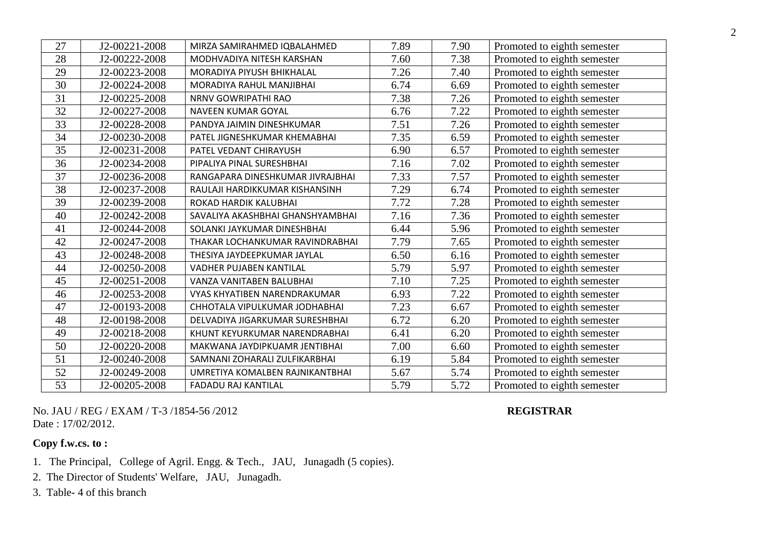| 27 | J2-00221-2008 | MIRZA SAMIRAHMED IQBALAHMED      | 7.89 | 7.90 | Promoted to eighth semester |
|----|---------------|----------------------------------|------|------|-----------------------------|
| 28 | J2-00222-2008 | MODHVADIYA NITESH KARSHAN        | 7.60 | 7.38 | Promoted to eighth semester |
| 29 | J2-00223-2008 | MORADIYA PIYUSH BHIKHALAL        | 7.26 | 7.40 | Promoted to eighth semester |
| 30 | J2-00224-2008 | MORADIYA RAHUL MANJIBHAI         | 6.74 | 6.69 | Promoted to eighth semester |
| 31 | J2-00225-2008 | NRNV GOWRIPATHI RAO              | 7.38 | 7.26 | Promoted to eighth semester |
| 32 | J2-00227-2008 | NAVEEN KUMAR GOYAL               | 6.76 | 7.22 | Promoted to eighth semester |
| 33 | J2-00228-2008 | PANDYA JAIMIN DINESHKUMAR        | 7.51 | 7.26 | Promoted to eighth semester |
| 34 | J2-00230-2008 | PATEL JIGNESHKUMAR KHEMABHAI     | 7.35 | 6.59 | Promoted to eighth semester |
| 35 | J2-00231-2008 | PATEL VEDANT CHIRAYUSH           | 6.90 | 6.57 | Promoted to eighth semester |
| 36 | J2-00234-2008 | PIPALIYA PINAL SURESHBHAI        | 7.16 | 7.02 | Promoted to eighth semester |
| 37 | J2-00236-2008 | RANGAPARA DINESHKUMAR JIVRAJBHAI | 7.33 | 7.57 | Promoted to eighth semester |
| 38 | J2-00237-2008 | RAULAJI HARDIKKUMAR KISHANSINH   | 7.29 | 6.74 | Promoted to eighth semester |
| 39 | J2-00239-2008 | ROKAD HARDIK KALUBHAI            | 7.72 | 7.28 | Promoted to eighth semester |
| 40 | J2-00242-2008 | SAVALIYA AKASHBHAI GHANSHYAMBHAI | 7.16 | 7.36 | Promoted to eighth semester |
| 41 | J2-00244-2008 | SOLANKI JAYKUMAR DINESHBHAI      | 6.44 | 5.96 | Promoted to eighth semester |
| 42 | J2-00247-2008 | THAKAR LOCHANKUMAR RAVINDRABHAI  | 7.79 | 7.65 | Promoted to eighth semester |
| 43 | J2-00248-2008 | THESIYA JAYDEEPKUMAR JAYLAL      | 6.50 | 6.16 | Promoted to eighth semester |
| 44 | J2-00250-2008 | VADHER PUJABEN KANTILAL          | 5.79 | 5.97 | Promoted to eighth semester |
| 45 | J2-00251-2008 | VANZA VANITABEN BALUBHAI         | 7.10 | 7.25 | Promoted to eighth semester |
| 46 | J2-00253-2008 | VYAS KHYATIBEN NARENDRAKUMAR     | 6.93 | 7.22 | Promoted to eighth semester |
| 47 | J2-00193-2008 | CHHOTALA VIPULKUMAR JODHABHAI    | 7.23 | 6.67 | Promoted to eighth semester |
| 48 | J2-00198-2008 | DELVADIYA JIGARKUMAR SURESHBHAI  | 6.72 | 6.20 | Promoted to eighth semester |
| 49 | J2-00218-2008 | KHUNT KEYURKUMAR NARENDRABHAI    | 6.41 | 6.20 | Promoted to eighth semester |
| 50 | J2-00220-2008 | MAKWANA JAYDIPKUAMR JENTIBHAI    | 7.00 | 6.60 | Promoted to eighth semester |
| 51 | J2-00240-2008 | SAMNANI ZOHARALI ZULFIKARBHAI    | 6.19 | 5.84 | Promoted to eighth semester |
| 52 | J2-00249-2008 | UMRETIYA KOMALBEN RAJNIKANTBHAI  | 5.67 | 5.74 | Promoted to eighth semester |
| 53 | J2-00205-2008 | <b>FADADU RAJ KANTILAL</b>       | 5.79 | 5.72 | Promoted to eighth semester |

No. JAU / REG / EXAM / T-3 /1854-56 /2012 **REGISTRAR** Date : 17/02/2012.

- 1. The Principal, College of Agril. Engg. & Tech., JAU, Junagadh (5 copies).
- 2. The Director of Students' Welfare, JAU, Junagadh.
- 3. Table- 4 of this branch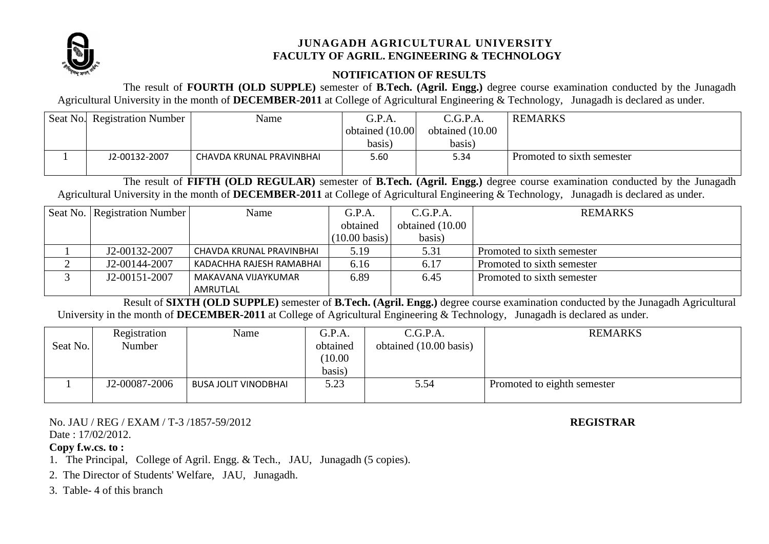

## **NOTIFICATION OF RESULTS**

The result of **FOURTH (OLD SUPPLE)** semester of **B.Tech. (Agril. Engg.)** degree course examination conducted by the Junagadh Agricultural University in the month of **DECEMBER-2011** at College of Agricultural Engineering & Technology, Junagadh is declared as under.

| Seat No. Registration Number | Name                     | G.P.A.          | C.G.P.A.         | <b>REMARKS</b>             |
|------------------------------|--------------------------|-----------------|------------------|----------------------------|
|                              |                          | obtained (10.00 | obtained (10.00) |                            |
|                              |                          | basis)          | basis)           |                            |
| J2-00132-2007                | CHAVDA KRUNAL PRAVINBHAI | 5.60            | 5.34             | Promoted to sixth semester |
|                              |                          |                 |                  |                            |

The result of **FIFTH (OLD REGULAR)** semester of **B.Tech. (Agril. Engg.)** degree course examination conducted by the Junagadh Agricultural University in the month of **DECEMBER-2011** at College of Agricultural Engineering & Technology, Junagadh is declared as under.

| Seat No.   Registration Number | Name                     | G.P.A.                  | C.G.P.A.        | <b>REMARKS</b>             |
|--------------------------------|--------------------------|-------------------------|-----------------|----------------------------|
|                                |                          | obtained                | obtained (10.00 |                            |
|                                |                          | $(10.00 \text{ basis})$ | basis)          |                            |
| J2-00132-2007                  | CHAVDA KRUNAL PRAVINBHAI | 5.19                    | 5.31            | Promoted to sixth semester |
| J2-00144-2007                  | KADACHHA RAJESH RAMABHAI | 6.16                    | 6.17            | Promoted to sixth semester |
| J2-00151-2007                  | MAKAVANA VIJAYKUMAR      | 6.89                    | 6.45            | Promoted to sixth semester |
|                                | AMRUTLAL                 |                         |                 |                            |

Result of **SIXTH (OLD SUPPLE)** semester of **B.Tech. (Agril. Engg.)** degree course examination conducted by the Junagadh Agricultural University in the month of **DECEMBER-2011** at College of Agricultural Engineering & Technology, Junagadh is declared as under.

| Seat No. | Registration<br>Number | Name                        | G.P.A.<br>obtained<br>(10.00)<br>basis) | C.G.P.A.<br>obtained (10.00 basis) | <b>REMARKS</b>              |
|----------|------------------------|-----------------------------|-----------------------------------------|------------------------------------|-----------------------------|
|          | J2-00087-2006          | <b>BUSA JOLIT VINODBHAI</b> | 5.23                                    | 5.54                               | Promoted to eighth semester |

No. JAU / REG / EXAM / T-3 /1857-59/2012 **REGISTRAR** Date: 17/02/2012.

- 1. The Principal, College of Agril. Engg. & Tech., JAU, Junagadh (5 copies).
- 2. The Director of Students' Welfare, JAU, Junagadh.
- 3. Table- 4 of this branch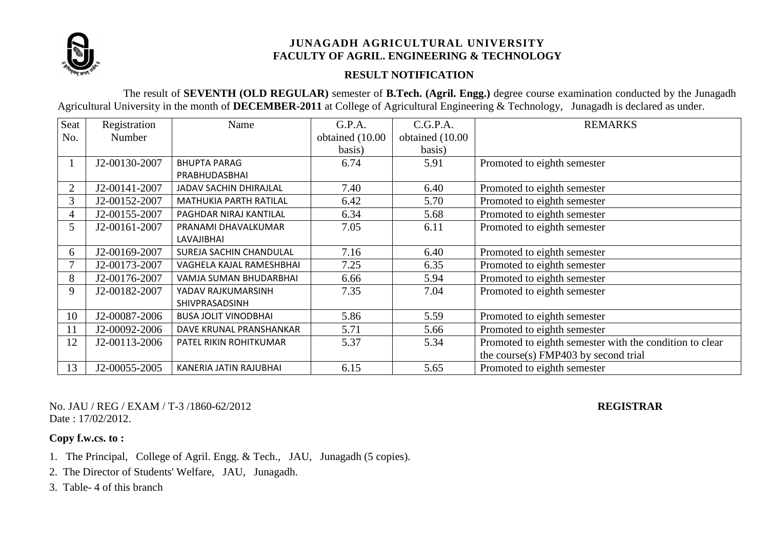

## **RESULT NOTIFICATION**

The result of **SEVENTH (OLD REGULAR)** semester of **B.Tech. (Agril. Engg.)** degree course examination conducted by the Junagadh Agricultural University in the month of **DECEMBER-2011** at College of Agricultural Engineering & Technology, Junagadh is declared as under.

| Seat           | Registration  | Name                        | G.P.A.          | C.G.P.A.        | <b>REMARKS</b>                                          |
|----------------|---------------|-----------------------------|-----------------|-----------------|---------------------------------------------------------|
| No.            | Number        |                             | obtained (10.00 | obtained (10.00 |                                                         |
|                |               |                             | basis)          | basis)          |                                                         |
|                | J2-00130-2007 | <b>BHUPTA PARAG</b>         | 6.74            | 5.91            | Promoted to eighth semester                             |
|                |               | PRABHUDASBHAI               |                 |                 |                                                         |
| $\overline{2}$ | J2-00141-2007 | JADAV SACHIN DHIRAJLAL      | 7.40            | 6.40            | Promoted to eighth semester                             |
| 3              | J2-00152-2007 | MATHUKIA PARTH RATILAL      | 6.42            | 5.70            | Promoted to eighth semester                             |
| 4              | J2-00155-2007 | PAGHDAR NIRAJ KANTILAL      | 6.34            | 5.68            | Promoted to eighth semester                             |
| 5              | J2-00161-2007 | PRANAMI DHAVALKUMAR         | 7.05            | 6.11            | Promoted to eighth semester                             |
|                |               | LAVAJIBHAI                  |                 |                 |                                                         |
| 6              | J2-00169-2007 | SUREJA SACHIN CHANDULAL     | 7.16            | 6.40            | Promoted to eighth semester                             |
|                | J2-00173-2007 | VAGHELA KAJAL RAMESHBHAI    | 7.25            | 6.35            | Promoted to eighth semester                             |
| 8              | J2-00176-2007 | VAMJA SUMAN BHUDARBHAI      | 6.66            | 5.94            | Promoted to eighth semester                             |
| 9              | J2-00182-2007 | YADAV RAJKUMARSINH          | 7.35            | 7.04            | Promoted to eighth semester                             |
|                |               | SHIVPRASADSINH              |                 |                 |                                                         |
| 10             | J2-00087-2006 | <b>BUSA JOLIT VINODBHAI</b> | 5.86            | 5.59            | Promoted to eighth semester                             |
| 11             | J2-00092-2006 | DAVE KRUNAL PRANSHANKAR     | 5.71            | 5.66            | Promoted to eighth semester                             |
| 12             | J2-00113-2006 | PATEL RIKIN ROHITKUMAR      | 5.37            | 5.34            | Promoted to eighth semester with the condition to clear |
|                |               |                             |                 |                 | the course(s) FMP403 by second trial                    |
| 13             | J2-00055-2005 | KANERIA JATIN RAJUBHAI      | 6.15            | 5.65            | Promoted to eighth semester                             |

No. JAU / REG / EXAM / T-3 /1860-62/2012 **REGISTRAR** Date: 17/02/2012.

- 1. The Principal, College of Agril. Engg. & Tech., JAU, Junagadh (5 copies).
- 2. The Director of Students' Welfare, JAU, Junagadh.
- 3. Table- 4 of this branch